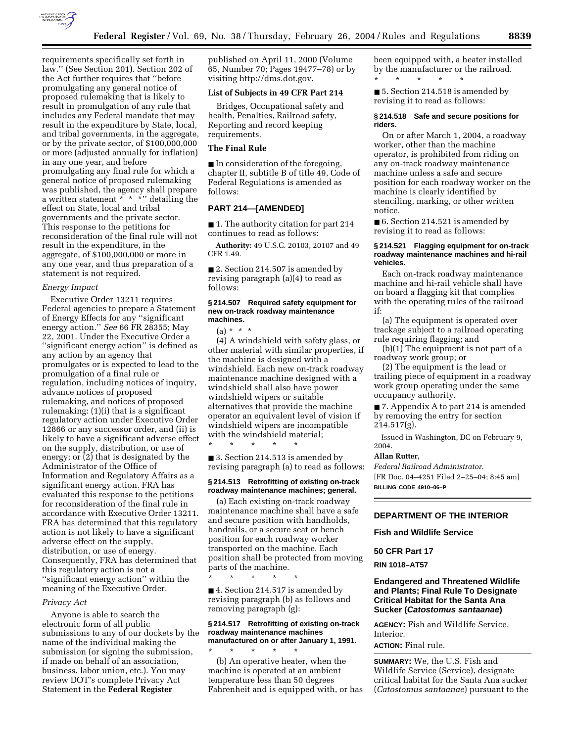

requirements specifically set forth in law.'' (See Section 201). Section 202 of the Act further requires that ''before promulgating any general notice of proposed rulemaking that is likely to result in promulgation of any rule that includes any Federal mandate that may result in the expenditure by State, local, and tribal governments, in the aggregate, or by the private sector, of \$100,000,000 or more (adjusted annually for inflation) in any one year, and before promulgating any final rule for which a general notice of proposed rulemaking was published, the agency shall prepare a written statement \* \* \* \* detailing the effect on State, local and tribal governments and the private sector. This response to the petitions for reconsideration of the final rule will not result in the expenditure, in the aggregate, of \$100,000,000 or more in any one year, and thus preparation of a statement is not required.

## *Energy Impact*

Executive Order 13211 requires Federal agencies to prepare a Statement of Energy Effects for any ''significant energy action.'' *See* 66 FR 28355; May 22, 2001. Under the Executive Order a ''significant energy action'' is defined as any action by an agency that promulgates or is expected to lead to the promulgation of a final rule or regulation, including notices of inquiry, advance notices of proposed rulemaking, and notices of proposed rulemaking: (1)(i) that is a significant regulatory action under Executive Order 12866 or any successor order, and (ii) is likely to have a significant adverse effect on the supply, distribution, or use of energy; or (2) that is designated by the Administrator of the Office of Information and Regulatory Affairs as a significant energy action. FRA has evaluated this response to the petitions for reconsideration of the final rule in accordance with Executive Order 13211. FRA has determined that this regulatory action is not likely to have a significant adverse effect on the supply, distribution, or use of energy. Consequently, FRA has determined that this regulatory action is not a ''significant energy action'' within the meaning of the Executive Order.

#### *Privacy Act*

Anyone is able to search the electronic form of all public submissions to any of our dockets by the name of the individual making the submission (or signing the submission, if made on behalf of an association, business, labor union, etc.). You may review DOT's complete Privacy Act Statement in the **Federal Register**

published on April 11, 2000 (Volume 65, Number 70; Pages 19477–78) or by visiting http://dms.dot.gov.

#### **List of Subjects in 49 CFR Part 214**

Bridges, Occupational safety and health, Penalties, Railroad safety, Reporting and record keeping requirements.

## **The Final Rule**

■ In consideration of the foregoing, chapter II, subtitle B of title 49, Code of Federal Regulations is amended as follows:

## **PART 214—[AMENDED]**

■ 1. The authority citation for part 214 continues to read as follows:

**Authority:** 49 U.S.C. 20103, 20107 and 49 CFR 1.49.

■ 2. Section 214.507 is amended by revising paragraph (a)(4) to read as follows:

#### **§ 214.507 Required safety equipment for new on-track roadway maintenance machines.**

 $(a) * * * *$ 

(4) A windshield with safety glass, or other material with similar properties, if the machine is designed with a windshield. Each new on-track roadway maintenance machine designed with a windshield shall also have power windshield wipers or suitable alternatives that provide the machine operator an equivalent level of vision if windshield wipers are incompatible with the windshield material;

\* \* \* \* \*

■ 3. Section 214.513 is amended by revising paragraph (a) to read as follows:

#### **§ 214.513 Retrofitting of existing on-track roadway maintenance machines; general.**

(a) Each existing on-track roadway maintenance machine shall have a safe and secure position with handholds, handrails, or a secure seat or bench position for each roadway worker transported on the machine. Each position shall be protected from moving parts of the machine.

\* \* \* \* \*

■ 4. Section 214.517 is amended by revising paragraph (b) as follows and removing paragraph (g):

# **§ 214.517 Retrofitting of existing on-track roadway maintenance machines manufactured on or after January 1, 1991.** \* \* \* \* \*

(b) An operative heater, when the machine is operated at an ambient temperature less than 50 degrees Fahrenheit and is equipped with, or has been equipped with, a heater installed by the manufacturer or the railroad. \* \* \* \* \*

■ 5. Section 214.518 is amended by revising it to read as follows:

#### **§ 214.518 Safe and secure positions for riders.**

On or after March 1, 2004, a roadway worker, other than the machine operator, is prohibited from riding on any on-track roadway maintenance machine unless a safe and secure position for each roadway worker on the machine is clearly identified by stenciling, marking, or other written notice.

■ 6. Section 214.521 is amended by revising it to read as follows:

## **§ 214.521 Flagging equipment for on-track roadway maintenance machines and hi-rail vehicles.**

Each on-track roadway maintenance machine and hi-rail vehicle shall have on board a flagging kit that complies with the operating rules of the railroad if:

(a) The equipment is operated over trackage subject to a railroad operating rule requiring flagging; and

(b)(1) The equipment is not part of a roadway work group; or

(2) The equipment is the lead or trailing piece of equipment in a roadway work group operating under the same occupancy authority.

■ 7. Appendix A to part 214 is amended by removing the entry for section  $214.517(g)$ .

Issued in Washington, DC on February 9, 2004.

## **Allan Rutter,**

*Federal Railroad Administrator.* [FR Doc. 04–4251 Filed 2–25–04; 8:45 am] **BILLING CODE 4910–06–P**

# **DEPARTMENT OF THE INTERIOR**

**Fish and Wildlife Service** 

## **50 CFR Part 17**

#### **RIN 1018–AT57**

# **Endangered and Threatened Wildlife and Plants; Final Rule To Designate Critical Habitat for the Santa Ana Sucker (Catostomus santaanae)**

**AGENCY:** Fish and Wildlife Service, Interior.

#### **ACTION:** Final rule.

**SUMMARY:** We, the U.S. Fish and Wildlife Service (Service), designate critical habitat for the Santa Ana sucker (*Catostomus santaanae*) pursuant to the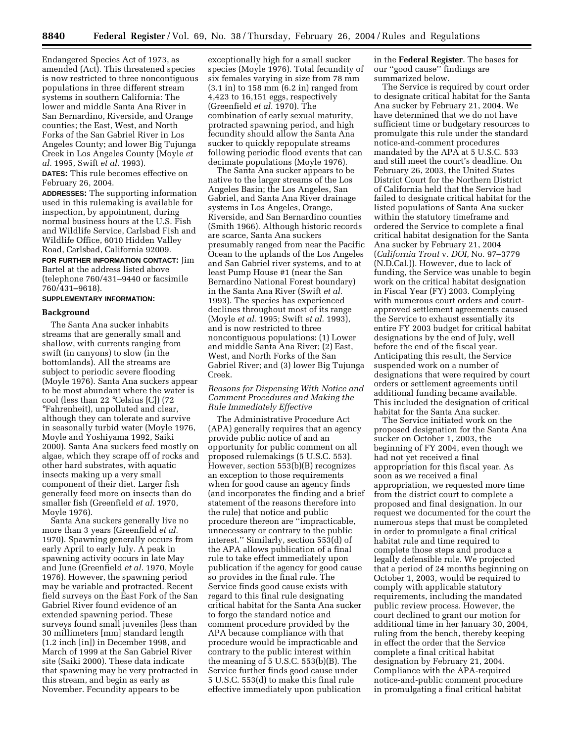Endangered Species Act of 1973, as amended (Act). This threatened species is now restricted to three noncontiguous populations in three different stream systems in southern California: The lower and middle Santa Ana River in San Bernardino, Riverside, and Orange counties; the East, West, and North Forks of the San Gabriel River in Los Angeles County; and lower Big Tujunga Creek in Los Angeles County (Moyle *et al.* 1995, Swift *et al.* 1993).

**DATES:** This rule becomes effective on February 26, 2004.

**ADDRESSES:** The supporting information used in this rulemaking is available for inspection, by appointment, during normal business hours at the U.S. Fish and Wildlife Service, Carlsbad Fish and Wildlife Office, 6010 Hidden Valley Road, Carlsbad, California 92009.

**FOR FURTHER INFORMATION CONTACT:** Jim Bartel at the address listed above (telephone 760/431–9440 or facsimile 760/431–9618).

# **SUPPLEMENTARY INFORMATION:**

#### **Background**

The Santa Ana sucker inhabits streams that are generally small and shallow, with currents ranging from swift (in canyons) to slow (in the bottomlands). All the streams are subject to periodic severe flooding (Moyle 1976). Santa Ana suckers appear to be most abundant where the water is cool (less than 22 °Celsius [C]) (72 °Fahrenheit), unpolluted and clear, although they can tolerate and survive in seasonally turbid water (Moyle 1976, Moyle and Yoshiyama 1992, Saiki 2000). Santa Ana suckers feed mostly on algae, which they scrape off of rocks and other hard substrates, with aquatic insects making up a very small component of their diet. Larger fish generally feed more on insects than do smaller fish (Greenfield *et al.* 1970, Moyle 1976).

Santa Ana suckers generally live no more than 3 years (Greenfield *et al.* 1970). Spawning generally occurs from early April to early July. A peak in spawning activity occurs in late May and June (Greenfield *et al.* 1970, Moyle 1976). However, the spawning period may be variable and protracted. Recent field surveys on the East Fork of the San Gabriel River found evidence of an extended spawning period. These surveys found small juveniles (less than 30 millimeters [mm] standard length (1.2 inch [in]) in December 1998, and March of 1999 at the San Gabriel River site (Saiki 2000). These data indicate that spawning may be very protracted in this stream, and begin as early as November. Fecundity appears to be

exceptionally high for a small sucker species (Moyle 1976). Total fecundity of six females varying in size from 78 mm (3.1 in) to 158 mm (6.2 in) ranged from 4,423 to 16,151 eggs, respectively (Greenfield *et al.* 1970). The combination of early sexual maturity, protracted spawning period, and high fecundity should allow the Santa Ana sucker to quickly repopulate streams following periodic flood events that can decimate populations (Moyle 1976).

The Santa Ana sucker appears to be native to the larger streams of the Los Angeles Basin; the Los Angeles, San Gabriel, and Santa Ana River drainage systems in Los Angeles, Orange, Riverside, and San Bernardino counties (Smith 1966). Although historic records are scarce, Santa Ana suckers presumably ranged from near the Pacific Ocean to the uplands of the Los Angeles and San Gabriel river systems, and to at least Pump House #1 (near the San Bernardino National Forest boundary) in the Santa Ana River (Swift *et al.* 1993). The species has experienced declines throughout most of its range (Moyle *et al.* 1995; Swift *et al.* 1993), and is now restricted to three noncontiguous populations: (1) Lower and middle Santa Ana River; (2) East, West, and North Forks of the San Gabriel River; and (3) lower Big Tujunga Creek.

## *Reasons for Dispensing With Notice and Comment Procedures and Making the Rule Immediately Effective*

The Administrative Procedure Act (APA) generally requires that an agency provide public notice of and an opportunity for public comment on all proposed rulemakings (5 U.S.C. 553). However, section 553(b)(B) recognizes an exception to those requirements when for good cause an agency finds (and incorporates the finding and a brief statement of the reasons therefore into the rule) that notice and public procedure thereon are ''impracticable, unnecessary or contrary to the public interest.'' Similarly, section 553(d) of the APA allows publication of a final rule to take effect immediately upon publication if the agency for good cause so provides in the final rule. The Service finds good cause exists with regard to this final rule designating critical habitat for the Santa Ana sucker to forgo the standard notice and comment procedure provided by the APA because compliance with that procedure would be impracticable and contrary to the public interest within the meaning of 5 U.S.C. 553(b)(B). The Service further finds good cause under 5 U.S.C. 553(d) to make this final rule effective immediately upon publication

in the **Federal Register**. The bases for our ''good cause'' findings are summarized below.

The Service is required by court order to designate critical habitat for the Santa Ana sucker by February 21, 2004. We have determined that we do not have sufficient time or budgetary resources to promulgate this rule under the standard notice-and-comment procedures mandated by the APA at 5 U.S.C. 533 and still meet the court's deadline. On February 26, 2003, the United States District Court for the Northern District of California held that the Service had failed to designate critical habitat for the listed populations of Santa Ana sucker within the statutory timeframe and ordered the Service to complete a final critical habitat designation for the Santa Ana sucker by February 21, 2004 (*California Trout* v. *DOI*, No. 97–3779 (N.D.Cal.)). However, due to lack of funding, the Service was unable to begin work on the critical habitat designation in Fiscal Year (FY) 2003. Complying with numerous court orders and courtapproved settlement agreements caused the Service to exhaust essentially its entire FY 2003 budget for critical habitat designations by the end of July, well before the end of the fiscal year. Anticipating this result, the Service suspended work on a number of designations that were required by court orders or settlement agreements until additional funding became available. This included the designation of critical habitat for the Santa Ana sucker.

The Service initiated work on the proposed designation for the Santa Ana sucker on October 1, 2003, the beginning of FY 2004, even though we had not yet received a final appropriation for this fiscal year. As soon as we received a final appropriation, we requested more time from the district court to complete a proposed and final designation. In our request we documented for the court the numerous steps that must be completed in order to promulgate a final critical habitat rule and time required to complete those steps and produce a legally defensible rule. We projected that a period of 24 months beginning on October 1, 2003, would be required to comply with applicable statutory requirements, including the mandated public review process. However, the court declined to grant our motion for additional time in her January 30, 2004, ruling from the bench, thereby keeping in effect the order that the Service complete a final critical habitat designation by February 21, 2004. Compliance with the APA-required notice-and-public comment procedure in promulgating a final critical habitat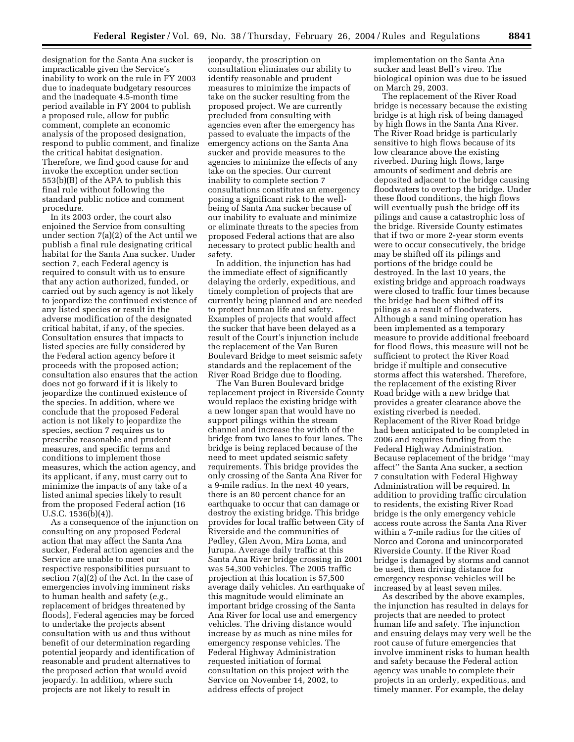designation for the Santa Ana sucker is impracticable given the Service's inability to work on the rule in FY 2003 due to inadequate budgetary resources and the inadequate 4.5-month time period available in FY 2004 to publish a proposed rule, allow for public comment, complete an economic analysis of the proposed designation, respond to public comment, and finalize the critical habitat designation. Therefore, we find good cause for and invoke the exception under section 553(b)(B) of the APA to publish this final rule without following the standard public notice and comment procedure.

In its 2003 order, the court also enjoined the Service from consulting under section 7(a)(2) of the Act until we publish a final rule designating critical habitat for the Santa Ana sucker. Under section 7, each Federal agency is required to consult with us to ensure that any action authorized, funded, or carried out by such agency is not likely to jeopardize the continued existence of any listed species or result in the adverse modification of the designated critical habitat, if any, of the species. Consultation ensures that impacts to listed species are fully considered by the Federal action agency before it proceeds with the proposed action; consultation also ensures that the action does not go forward if it is likely to jeopardize the continued existence of the species. In addition, where we conclude that the proposed Federal action is not likely to jeopardize the species, section 7 requires us to prescribe reasonable and prudent measures, and specific terms and conditions to implement those measures, which the action agency, and its applicant, if any, must carry out to minimize the impacts of any take of a listed animal species likely to result from the proposed Federal action (16 U.S.C. 1536(b)(4)).

As a consequence of the injunction on consulting on any proposed Federal action that may affect the Santa Ana sucker, Federal action agencies and the Service are unable to meet our respective responsibilities pursuant to section 7(a)(2) of the Act. In the case of emergencies involving imminent risks to human health and safety (*e.g.*, replacement of bridges threatened by floods), Federal agencies may be forced to undertake the projects absent consultation with us and thus without benefit of our determination regarding potential jeopardy and identification of reasonable and prudent alternatives to the proposed action that would avoid jeopardy. In addition, where such projects are not likely to result in

jeopardy, the proscription on consultation eliminates our ability to identify reasonable and prudent measures to minimize the impacts of take on the sucker resulting from the proposed project. We are currently precluded from consulting with agencies even after the emergency has passed to evaluate the impacts of the emergency actions on the Santa Ana sucker and provide measures to the agencies to minimize the effects of any take on the species. Our current inability to complete section 7 consultations constitutes an emergency posing a significant risk to the wellbeing of Santa Ana sucker because of our inability to evaluate and minimize or eliminate threats to the species from proposed Federal actions that are also necessary to protect public health and safety.

In addition, the injunction has had the immediate effect of significantly delaying the orderly, expeditious, and timely completion of projects that are currently being planned and are needed to protect human life and safety. Examples of projects that would affect the sucker that have been delayed as a result of the Court's injunction include the replacement of the Van Buren Boulevard Bridge to meet seismic safety standards and the replacement of the River Road Bridge due to flooding.

The Van Buren Boulevard bridge replacement project in Riverside County would replace the existing bridge with a new longer span that would have no support pilings within the stream channel and increase the width of the bridge from two lanes to four lanes. The bridge is being replaced because of the need to meet updated seismic safety requirements. This bridge provides the only crossing of the Santa Ana River for a 9-mile radius. In the next 40 years, there is an 80 percent chance for an earthquake to occur that can damage or destroy the existing bridge. This bridge provides for local traffic between City of Riverside and the communities of Pedley, Glen Avon, Mira Loma, and Jurupa. Average daily traffic at this Santa Ana River bridge crossing in 2001 was 54,300 vehicles. The 2005 traffic projection at this location is 57,500 average daily vehicles. An earthquake of this magnitude would eliminate an important bridge crossing of the Santa Ana River for local use and emergency vehicles. The driving distance would increase by as much as nine miles for emergency response vehicles. The Federal Highway Administration requested initiation of formal consultation on this project with the Service on November 14, 2002, to address effects of project

implementation on the Santa Ana sucker and least Bell's vireo. The biological opinion was due to be issued on March 29, 2003.

The replacement of the River Road bridge is necessary because the existing bridge is at high risk of being damaged by high flows in the Santa Ana River. The River Road bridge is particularly sensitive to high flows because of its low clearance above the existing riverbed. During high flows, large amounts of sediment and debris are deposited adjacent to the bridge causing floodwaters to overtop the bridge. Under these flood conditions, the high flows will eventually push the bridge off its pilings and cause a catastrophic loss of the bridge. Riverside County estimates that if two or more 2-year storm events were to occur consecutively, the bridge may be shifted off its pilings and portions of the bridge could be destroyed. In the last 10 years, the existing bridge and approach roadways were closed to traffic four times because the bridge had been shifted off its pilings as a result of floodwaters. Although a sand mining operation has been implemented as a temporary measure to provide additional freeboard for flood flows, this measure will not be sufficient to protect the River Road bridge if multiple and consecutive storms affect this watershed. Therefore, the replacement of the existing River Road bridge with a new bridge that provides a greater clearance above the existing riverbed is needed. Replacement of the River Road bridge had been anticipated to be completed in 2006 and requires funding from the Federal Highway Administration. Because replacement of the bridge ''may affect'' the Santa Ana sucker, a section 7 consultation with Federal Highway Administration will be required. In addition to providing traffic circulation to residents, the existing River Road bridge is the only emergency vehicle access route across the Santa Ana River within a 7-mile radius for the cities of Norco and Corona and unincorporated Riverside County. If the River Road bridge is damaged by storms and cannot be used, then driving distance for emergency response vehicles will be increased by at least seven miles.

As described by the above examples, the injunction has resulted in delays for projects that are needed to protect human life and safety. The injunction and ensuing delays may very well be the root cause of future emergencies that involve imminent risks to human health and safety because the Federal action agency was unable to complete their projects in an orderly, expeditious, and timely manner. For example, the delay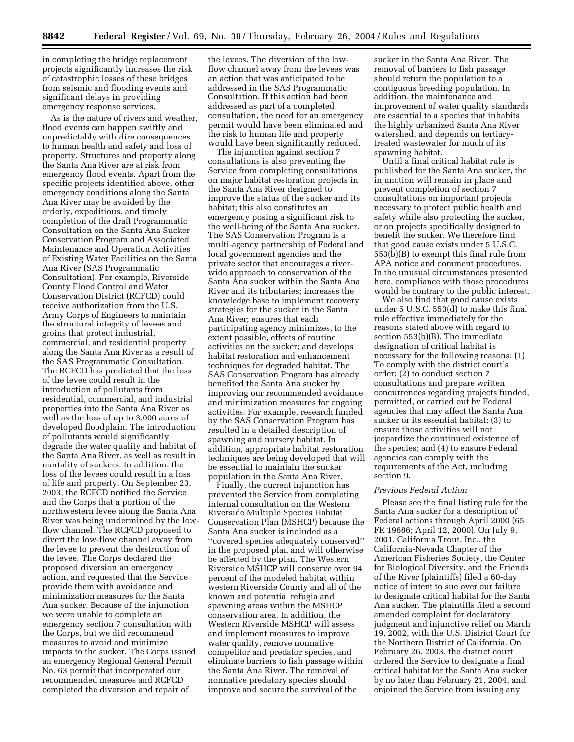in completing the bridge replacement projects significantly increases the risk of catastrophic losses of these bridges from seismic and flooding events and significant delays in providing emergency response services.

As is the nature of rivers and weather, flood events can happen swiftly and unpredictably with dire consequences to human health and safety and loss of property. Structures and property along the Santa Ana River are at risk from emergency flood events. Apart from the specific projects identified above, other emergency conditions along the Santa Ana River may be avoided by the orderly, expeditious, and timely completion of the draft Programmatic Consultation on the Santa Ana Sucker Conservation Program and Associated Maintenance and Operation Activities of Existing Water Facilities on the Santa Ana River (SAS Programmatic Consultation). For example, Riverside County Flood Control and Water Conservation District (RCFCD) could receive authorization from the U.S. Army Corps of Engineers to maintain the structural integrity of levees and groins that protect industrial, commercial, and residential property along the Santa Ana River as a result of the SAS Programmatic Consultation. The RCFCD has predicted that the loss of the levee could result in the introduction of pollutants from residential, commercial, and industrial properties into the Santa Ana River as well as the loss of up to 3,000 acres of developed floodplain. The introduction of pollutants would significantly degrade the water quality and habitat of the Santa Ana River, as well as result in mortality of suckers. In addition, the loss of the levees could result in a loss of life and property. On September 23, 2003, the RCFCD notified the Service and the Corps that a portion of the northwestern levee along the Santa Ana River was being undermined by the lowflow channel. The RCFCD proposed to divert the low-flow channel away from the levee to prevent the destruction of the levee. The Corps declared the proposed diversion an emergency action, and requested that the Service provide them with avoidance and minimization measures for the Santa Ana sucker. Because of the injunction we were unable to complete an emergency section 7 consultation with the Corps, but we did recommend measures to avoid and minimize impacts to the sucker. The Corps issued an emergency Regional General Permit No. 63 permit that incorporated our recommended measures and RCFCD completed the diversion and repair of

the levees. The diversion of the lowflow channel away from the levees was an action that was anticipated to be addressed in the SAS Programmatic Consultation. If this action had been addressed as part of a completed consultation, the need for an emergency permit would have been eliminated and the risk to human life and property would have been significantly reduced.

The injunction against section 7 consultations is also preventing the Service from completing consultations on major habitat restoration projects in the Santa Ana River designed to improve the status of the sucker and its habitat; this also constitutes an emergency posing a significant risk to the well-being of the Santa Ana sucker. The SAS Conservation Program is a multi-agency partnership of Federal and local government agencies and the private sector that encourages a riverwide approach to conservation of the Santa Ana sucker within the Santa Ana River and its tributaries; increases the knowledge base to implement recovery strategies for the sucker in the Santa Ana River; ensures that each participating agency minimizes, to the extent possible, effects of routine activities on the sucker; and develops habitat restoration and enhancement techniques for degraded habitat. The SAS Conservation Program has already benefited the Santa Ana sucker by improving our recommended avoidance and minimization measures for ongoing activities. For example, research funded by the SAS Conservation Program has resulted in a detailed description of spawning and nursery habitat. In addition, appropriate habitat restoration techniques are being developed that will be essential to maintain the sucker population in the Santa Ana River.

Finally, the current injunction has prevented the Service from completing internal consultation on the Western Riverside Multiple Species Habitat Conservation Plan (MSHCP) because the Santa Ana sucker is included as a ''covered species adequately conserved'' in the proposed plan and will otherwise be affected by the plan. The Western Riverside MSHCP will conserve over 94 percent of the modeled habitat within western Riverside County and all of the known and potential refugia and spawning areas within the MSHCP conservation area. In addition, the Western Riverside MSHCP will assess and implement measures to improve water quality, remove nonnative competitor and predator species, and eliminate barriers to fish passage within the Santa Ana River. The removal of nonnative predatory species should improve and secure the survival of the

sucker in the Santa Ana River. The removal of barriers to fish passage should return the population to a contiguous breeding population. In addition, the maintenance and improvement of water quality standards are essential to a species that inhabits the highly urbanized Santa Ana River watershed, and depends on tertiarytreated wastewater for much of its spawning habitat.

Until a final critical habitat rule is published for the Santa Ana sucker, the injunction will remain in place and prevent completion of section 7 consultations on important projects necessary to protect public health and safety while also protecting the sucker, or on projects specifically designed to benefit the sucker. We therefore find that good cause exists under 5 U.S.C. 553(b)(B) to exempt this final rule from APA notice and comment procedures. In the unusual circumstances presented here, compliance with those procedures would be contrary to the public interest.

We also find that good cause exists under 5 U.S.C. 553(d) to make this final rule effective immediately for the reasons stated above with regard to section 553(b)(B). The immediate designation of critical habitat is necessary for the following reasons: (1) To comply with the district court's order; (2) to conduct section 7 consultations and prepare written concurrences regarding projects funded, permitted, or carried out by Federal agencies that may affect the Santa Ana sucker or its essential habitat; (3) to ensure those activities will not jeopardize the continued existence of the species; and (4) to ensure Federal agencies can comply with the requirements of the Act, including section 9.

#### *Previous Federal Action*

Please see the final listing rule for the Santa Ana sucker for a description of Federal actions through April 2000 (65 FR 19686; April 12, 2000). On July 9, 2001, California Trout, Inc., the California-Nevada Chapter of the American Fisheries Society, the Center for Biological Diversity, and the Friends of the River (plaintiffs) filed a 60-day notice of intent to sue over our failure to designate critical habitat for the Santa Ana sucker. The plaintiffs filed a second amended complaint for declaratory judgment and injunctive relief on March 19, 2002, with the U.S. District Court for the Northern District of California. On February 26, 2003, the district court ordered the Service to designate a final critical habitat for the Santa Ana sucker by no later than February 21, 2004, and enjoined the Service from issuing any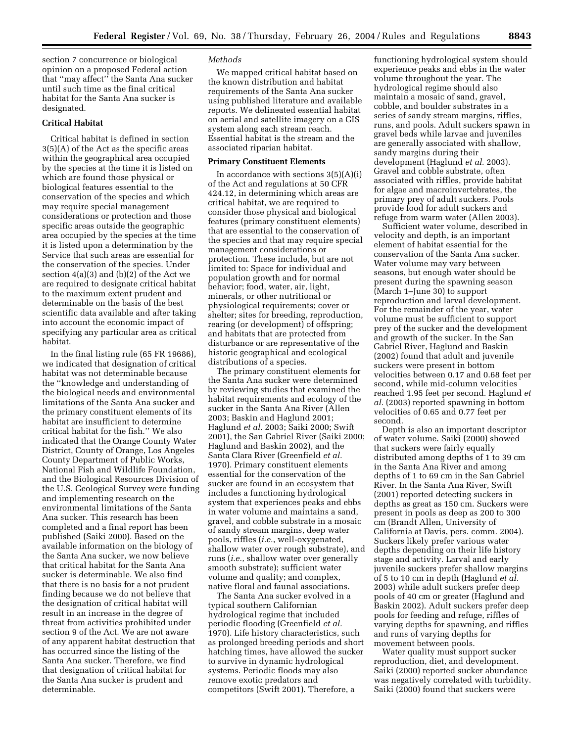section 7 concurrence or biological opinion on a proposed Federal action that ''may affect'' the Santa Ana sucker until such time as the final critical habitat for the Santa Ana sucker is designated.

## **Critical Habitat**

Critical habitat is defined in section 3(5)(A) of the Act as the specific areas within the geographical area occupied by the species at the time it is listed on which are found those physical or biological features essential to the conservation of the species and which may require special management considerations or protection and those specific areas outside the geographic area occupied by the species at the time it is listed upon a determination by the Service that such areas are essential for the conservation of the species. Under section  $4(a)(3)$  and  $(b)(2)$  of the Act we are required to designate critical habitat to the maximum extent prudent and determinable on the basis of the best scientific data available and after taking into account the economic impact of specifying any particular area as critical habitat.

In the final listing rule (65 FR 19686), we indicated that designation of critical habitat was not determinable because the ''knowledge and understanding of the biological needs and environmental limitations of the Santa Ana sucker and the primary constituent elements of its habitat are insufficient to determine critical habitat for the fish.'' We also indicated that the Orange County Water District, County of Orange, Los Angeles County Department of Public Works, National Fish and Wildlife Foundation, and the Biological Resources Division of the U.S. Geological Survey were funding and implementing research on the environmental limitations of the Santa Ana sucker. This research has been completed and a final report has been published (Saiki 2000). Based on the available information on the biology of the Santa Ana sucker, we now believe that critical habitat for the Santa Ana sucker is determinable. We also find that there is no basis for a not prudent finding because we do not believe that the designation of critical habitat will result in an increase in the degree of threat from activities prohibited under section 9 of the Act. We are not aware of any apparent habitat destruction that has occurred since the listing of the Santa Ana sucker. Therefore, we find that designation of critical habitat for the Santa Ana sucker is prudent and determinable.

#### *Methods*

We mapped critical habitat based on the known distribution and habitat requirements of the Santa Ana sucker using published literature and available reports. We delineated essential habitat on aerial and satellite imagery on a GIS system along each stream reach. Essential habitat is the stream and the associated riparian habitat.

#### **Primary Constituent Elements**

In accordance with sections  $3(5)(A)(i)$ of the Act and regulations at 50 CFR 424.12, in determining which areas are critical habitat, we are required to consider those physical and biological features (primary constituent elements) that are essential to the conservation of the species and that may require special management considerations or protection. These include, but are not limited to: Space for individual and population growth and for normal behavior; food, water, air, light, minerals, or other nutritional or physiological requirements; cover or shelter; sites for breeding, reproduction, rearing (or development) of offspring; and habitats that are protected from disturbance or are representative of the historic geographical and ecological distributions of a species.

The primary constituent elements for the Santa Ana sucker were determined by reviewing studies that examined the habitat requirements and ecology of the sucker in the Santa Ana River (Allen 2003; Baskin and Haglund 2001; Haglund *et al.* 2003; Saiki 2000; Swift 2001), the San Gabriel River (Saiki 2000; Haglund and Baskin 2002), and the Santa Clara River (Greenfield *et al.* 1970). Primary constituent elements essential for the conservation of the sucker are found in an ecosystem that includes a functioning hydrological system that experiences peaks and ebbs in water volume and maintains a sand, gravel, and cobble substrate in a mosaic of sandy stream margins, deep water pools, riffles (*i.e.*, well-oxygenated, shallow water over rough substrate), and runs (*i.e.*, shallow water over generally smooth substrate); sufficient water volume and quality; and complex, native floral and faunal associations.

The Santa Ana sucker evolved in a typical southern Californian hydrological regime that included periodic flooding (Greenfield *et al.* 1970). Life history characteristics, such as prolonged breeding periods and short hatching times, have allowed the sucker to survive in dynamic hydrological systems. Periodic floods may also remove exotic predators and competitors (Swift 2001). Therefore, a

functioning hydrological system should experience peaks and ebbs in the water volume throughout the year. The hydrological regime should also maintain a mosaic of sand, gravel, cobble, and boulder substrates in a series of sandy stream margins, riffles, runs, and pools. Adult suckers spawn in gravel beds while larvae and juveniles are generally associated with shallow, sandy margins during their development (Haglund *et al.* 2003). Gravel and cobble substrate, often associated with riffles, provide habitat for algae and macroinvertebrates, the primary prey of adult suckers. Pools provide food for adult suckers and refuge from warm water (Allen 2003).

Sufficient water volume, described in velocity and depth, is an important element of habitat essential for the conservation of the Santa Ana sucker. Water volume may vary between seasons, but enough water should be present during the spawning season (March 1–June 30) to support reproduction and larval development. For the remainder of the year, water volume must be sufficient to support prey of the sucker and the development and growth of the sucker. In the San Gabriel River, Haglund and Baskin (2002) found that adult and juvenile suckers were present in bottom velocities between 0.17 and 0.68 feet per second, while mid-column velocities reached 1.95 feet per second. Haglund *et al.* (2003) reported spawning in bottom velocities of 0.65 and 0.77 feet per second.

Depth is also an important descriptor of water volume. Saiki (2000) showed that suckers were fairly equally distributed among depths of 1 to 39 cm in the Santa Ana River and among depths of 1 to 69 cm in the San Gabriel River. In the Santa Ana River, Swift (2001) reported detecting suckers in depths as great as 150 cm. Suckers were present in pools as deep as 200 to 300 cm (Brandt Allen, University of California at Davis, pers. comm. 2004). Suckers likely prefer various water depths depending on their life history stage and activity. Larval and early juvenile suckers prefer shallow margins of 5 to 10 cm in depth (Haglund *et al.* 2003) while adult suckers prefer deep pools of 40 cm or greater (Haglund and Baskin 2002). Adult suckers prefer deep pools for feeding and refuge, riffles of varying depths for spawning, and riffles and runs of varying depths for movement between pools.

Water quality must support sucker reproduction, diet, and development. Saiki (2000) reported sucker abundance was negatively correlated with turbidity. Saiki (2000) found that suckers were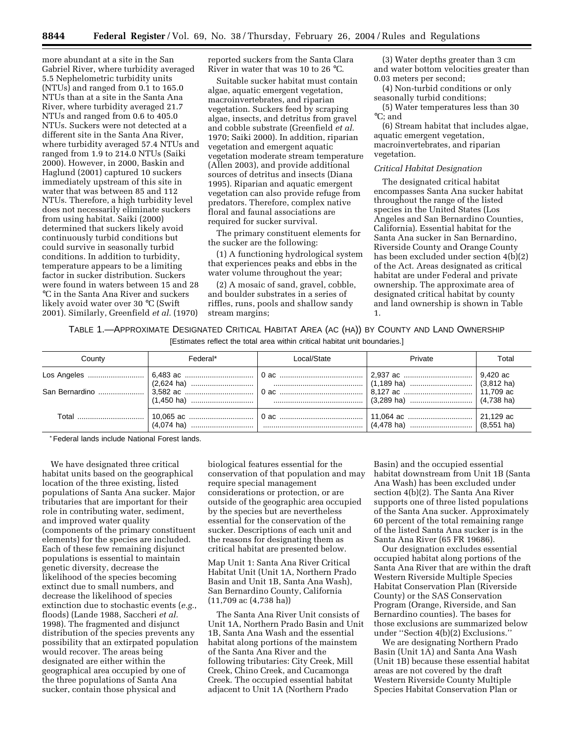more abundant at a site in the San Gabriel River, where turbidity averaged 5.5 Nephelometric turbidity units (NTUs) and ranged from 0.1 to 165.0 NTUs than at a site in the Santa Ana River, where turbidity averaged 21.7 NTUs and ranged from 0.6 to 405.0 NTUs. Suckers were not detected at a different site in the Santa Ana River, where turbidity averaged 57.4 NTUs and ranged from 1.9 to 214.0 NTUs (Saiki 2000). However, in 2000, Baskin and Haglund (2001) captured 10 suckers immediately upstream of this site in water that was between 85 and 112 NTUs. Therefore, a high turbidity level does not necessarily eliminate suckers from using habitat. Saiki (2000) determined that suckers likely avoid continuously turbid conditions but could survive in seasonally turbid conditions. In addition to turbidity, temperature appears to be a limiting factor in sucker distribution. Suckers were found in waters between 15 and 28 °C in the Santa Ana River and suckers likely avoid water over 30 °C (Swift 2001). Similarly, Greenfield *et al.* (1970)

reported suckers from the Santa Clara River in water that was 10 to 26 °C.

Suitable sucker habitat must contain algae, aquatic emergent vegetation, macroinvertebrates, and riparian vegetation. Suckers feed by scraping algae, insects, and detritus from gravel and cobble substrate (Greenfield *et al.* 1970; Saiki 2000). In addition, riparian vegetation and emergent aquatic vegetation moderate stream temperature (Allen 2003), and provide additional sources of detritus and insects (Diana 1995). Riparian and aquatic emergent vegetation can also provide refuge from predators. Therefore, complex native floral and faunal associations are required for sucker survival.

The primary constituent elements for the sucker are the following:

(1) A functioning hydrological system that experiences peaks and ebbs in the water volume throughout the year;

(2) A mosaic of sand, gravel, cobble, and boulder substrates in a series of riffles, runs, pools and shallow sandy stream margins;

(3) Water depths greater than 3 cm and water bottom velocities greater than 0.03 meters per second;

(4) Non-turbid conditions or only seasonally turbid conditions;

(5) Water temperatures less than 30 °C; and

(6) Stream habitat that includes algae, aquatic emergent vegetation, macroinvertebrates, and riparian vegetation.

#### *Critical Habitat Designation*

The designated critical habitat encompasses Santa Ana sucker habitat throughout the range of the listed species in the United States (Los Angeles and San Bernardino Counties, California). Essential habitat for the Santa Ana sucker in San Bernardino, Riverside County and Orange County has been excluded under section 4(b)(2) of the Act. Areas designated as critical habitat are under Federal and private ownership. The approximate area of designated critical habitat by county and land ownership is shown in Table 1.

TABLE 1.—APPROXIMATE DESIGNATED CRITICAL HABITAT AREA (AC (HA)) BY COUNTY AND LAND OWNERSHIP [Estimates reflect the total area within critical habitat unit boundaries.]

| County | Federal*                                                                                          | Local/State | Private | Total |
|--------|---------------------------------------------------------------------------------------------------|-------------|---------|-------|
|        | Los Angeles ………………………   6,483 ac ……………………………   0 ac ………………………………   2,937 ac …………………………   9,420 ac |             |         |       |
|        |                                                                                                   |             |         |       |
|        |                                                                                                   |             |         |       |

\*Federal lands include National Forest lands.

We have designated three critical habitat units based on the geographical location of the three existing, listed populations of Santa Ana sucker. Major tributaries that are important for their role in contributing water, sediment, and improved water quality (components of the primary constituent elements) for the species are included. Each of these few remaining disjunct populations is essential to maintain genetic diversity, decrease the likelihood of the species becoming extinct due to small numbers, and decrease the likelihood of species extinction due to stochastic events (*e.g.*, floods) (Lande 1988, Saccheri *et al.* 1998). The fragmented and disjunct distribution of the species prevents any possibility that an extirpated population would recover. The areas being designated are either within the geographical area occupied by one of the three populations of Santa Ana sucker, contain those physical and

biological features essential for the conservation of that population and may require special management considerations or protection, or are outside of the geographic area occupied by the species but are nevertheless essential for the conservation of the sucker. Descriptions of each unit and the reasons for designating them as critical habitat are presented below.

Map Unit 1: Santa Ana River Critical Habitat Unit (Unit 1A, Northern Prado Basin and Unit 1B, Santa Ana Wash), San Bernardino County, California (11,709 ac (4,738 ha))

The Santa Ana River Unit consists of Unit 1A, Northern Prado Basin and Unit 1B, Santa Ana Wash and the essential habitat along portions of the mainstem of the Santa Ana River and the following tributaries: City Creek, Mill Creek, Chino Creek, and Cucamonga Creek. The occupied essential habitat adjacent to Unit 1A (Northern Prado

Basin) and the occupied essential habitat downstream from Unit 1B (Santa Ana Wash) has been excluded under section 4(b)(2). The Santa Ana River supports one of three listed populations of the Santa Ana sucker. Approximately 60 percent of the total remaining range of the listed Santa Ana sucker is in the Santa Ana River (65 FR 19686).

Our designation excludes essential occupied habitat along portions of the Santa Ana River that are within the draft Western Riverside Multiple Species Habitat Conservation Plan (Riverside County) or the SAS Conservation Program (Orange, Riverside, and San Bernardino counties). The bases for those exclusions are summarized below under ''Section 4(b)(2) Exclusions.''

We are designating Northern Prado Basin (Unit 1A) and Santa Ana Wash (Unit 1B) because these essential habitat areas are not covered by the draft Western Riverside County Multiple Species Habitat Conservation Plan or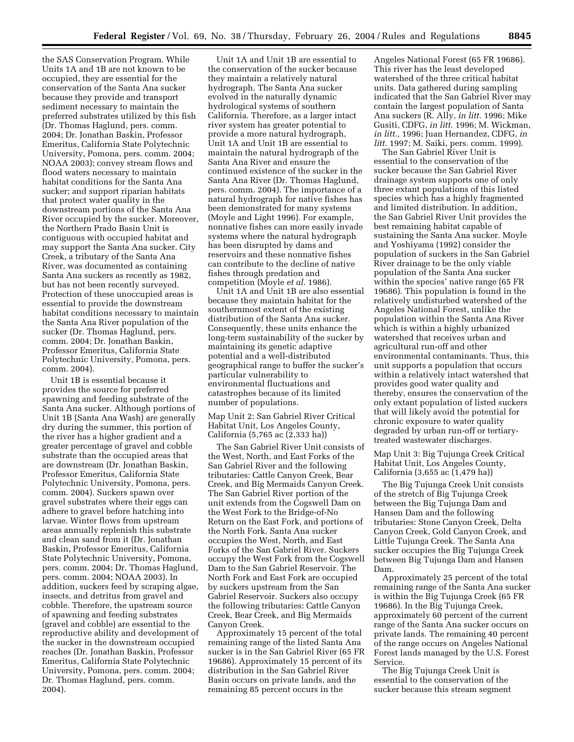the SAS Conservation Program. While Units 1A and 1B are not known to be occupied, they are essential for the conservation of the Santa Ana sucker because they provide and transport sediment necessary to maintain the preferred substrates utilized by this fish (Dr. Thomas Haglund, pers. comm. 2004; Dr. Jonathan Baskin, Professor Emeritus, California State Polytechnic University, Pomona, pers. comm. 2004; NOAA 2003); convey stream flows and flood waters necessary to maintain habitat conditions for the Santa Ana sucker; and support riparian habitats that protect water quality in the downstream portions of the Santa Ana River occupied by the sucker. Moreover, the Northern Prado Basin Unit is contiguous with occupied habitat and may support the Santa Ana sucker. City Creek, a tributary of the Santa Ana River, was documented as containing Santa Ana suckers as recently as 1982, but has not been recently surveyed. Protection of these unoccupied areas is essential to provide the downstream habitat conditions necessary to maintain the Santa Ana River population of the sucker (Dr. Thomas Haglund, pers. comm. 2004; Dr. Jonathan Baskin, Professor Emeritus, California State Polytechnic University, Pomona, pers. comm. 2004).

Unit 1B is essential because it provides the source for preferred spawning and feeding substrate of the Santa Ana sucker. Although portions of Unit 1B (Santa Ana Wash) are generally dry during the summer, this portion of the river has a higher gradient and a greater percentage of gravel and cobble substrate than the occupied areas that are downstream (Dr. Jonathan Baskin, Professor Emeritus, California State Polytechnic University, Pomona, pers. comm. 2004). Suckers spawn over gravel substrates where their eggs can adhere to gravel before hatching into larvae. Winter flows from upstream areas annually replenish this substrate and clean sand from it (Dr. Jonathan Baskin, Professor Emeritus, California State Polytechnic University, Pomona, pers. comm. 2004; Dr. Thomas Haglund, pers. comm. 2004; NOAA 2003). In addition, suckers feed by scraping algae, insects, and detritus from gravel and cobble. Therefore, the upstream source of spawning and feeding substrates (gravel and cobble) are essential to the reproductive ability and development of the sucker in the downstream occupied reaches (Dr. Jonathan Baskin, Professor Emeritus, California State Polytechnic University, Pomona, pers. comm. 2004; Dr. Thomas Haglund, pers. comm. 2004).

Unit 1A and Unit 1B are essential to the conservation of the sucker because they maintain a relatively natural hydrograph. The Santa Ana sucker evolved in the naturally dynamic hydrological systems of southern California. Therefore, as a larger intact river system has greater potential to provide a more natural hydrograph, Unit 1A and Unit 1B are essential to maintain the natural hydrograph of the Santa Ana River and ensure the continued existence of the sucker in the Santa Ana River (Dr. Thomas Haglund, pers. comm. 2004). The importance of a natural hydrograph for native fishes has been demonstrated for many systems (Moyle and Light 1996). For example, nonnative fishes can more easily invade systems where the natural hydrograph has been disrupted by dams and reservoirs and these nonnative fishes can contribute to the decline of native fishes through predation and competition (Moyle *et al.* 1986).

Unit 1A and Unit 1B are also essential because they maintain habitat for the southernmost extent of the existing distribution of the Santa Ana sucker. Consequently, these units enhance the long-term sustainability of the sucker by maintaining its genetic adaptive potential and a well-distributed geographical range to buffer the sucker's particular vulnerability to environmental fluctuations and catastrophes because of its limited number of populations.

Map Unit 2: San Gabriel River Critical Habitat Unit, Los Angeles County, California (5,765 ac (2,333 ha))

The San Gabriel River Unit consists of the West, North, and East Forks of the San Gabriel River and the following tributaries: Cattle Canyon Creek, Bear Creek, and Big Mermaids Canyon Creek. The San Gabriel River portion of the unit extends from the Cogswell Dam on the West Fork to the Bridge-of-No Return on the East Fork, and portions of the North Fork. Santa Ana sucker occupies the West, North, and East Forks of the San Gabriel River. Suckers occupy the West Fork from the Cogswell Dam to the San Gabriel Reservoir. The North Fork and East Fork are occupied by suckers upstream from the San Gabriel Reservoir. Suckers also occupy the following tributaries: Cattle Canyon Creek, Bear Creek, and Big Mermaids Canyon Creek.

Approximately 15 percent of the total remaining range of the listed Santa Ana sucker is in the San Gabriel River (65 FR 19686). Approximately 15 percent of its distribution in the San Gabriel River Basin occurs on private lands, and the remaining 85 percent occurs in the

Angeles National Forest (65 FR 19686). This river has the least developed watershed of the three critical habitat units. Data gathered during sampling indicated that the San Gabriel River may contain the largest population of Santa Ana suckers (R. Ally, *in litt.* 1996; Mike Gusiti, CDFG, *in litt.* 1996; M. Wickman, *in litt.,* 1996; Juan Hernandez, CDFG, *in litt.* 1997; M. Saiki, pers. comm. 1999).

The San Gabriel River Unit is essential to the conservation of the sucker because the San Gabriel River drainage system supports one of only three extant populations of this listed species which has a highly fragmented and limited distribution. In addition, the San Gabriel River Unit provides the best remaining habitat capable of sustaining the Santa Ana sucker. Moyle and Yoshiyama (1992) consider the population of suckers in the San Gabriel River drainage to be the only viable population of the Santa Ana sucker within the species' native range (65 FR 19686). This population is found in the relatively undisturbed watershed of the Angeles National Forest, unlike the population within the Santa Ana River which is within a highly urbanized watershed that receives urban and agricultural run-off and other environmental contaminants. Thus, this unit supports a population that occurs within a relatively intact watershed that provides good water quality and thereby, ensures the conservation of the only extant population of listed suckers that will likely avoid the potential for chronic exposure to water quality degraded by urban run-off or tertiarytreated wastewater discharges.

Map Unit 3: Big Tujunga Creek Critical Habitat Unit, Los Angeles County, California (3,655 ac (1,479 ha))

The Big Tujunga Creek Unit consists of the stretch of Big Tujunga Creek between the Big Tujunga Dam and Hansen Dam and the following tributaries: Stone Canyon Creek, Delta Canyon Creek, Gold Canyon Creek, and Little Tujunga Creek. The Santa Ana sucker occupies the Big Tujunga Creek between Big Tujunga Dam and Hansen Dam.

Approximately 25 percent of the total remaining range of the Santa Ana sucker is within the Big Tujunga Creek (65 FR 19686). In the Big Tujunga Creek, approximately 60 percent of the current range of the Santa Ana sucker occurs on private lands. The remaining 40 percent of the range occurs on Angeles National Forest lands managed by the U.S. Forest Service.

The Big Tujunga Creek Unit is essential to the conservation of the sucker because this stream segment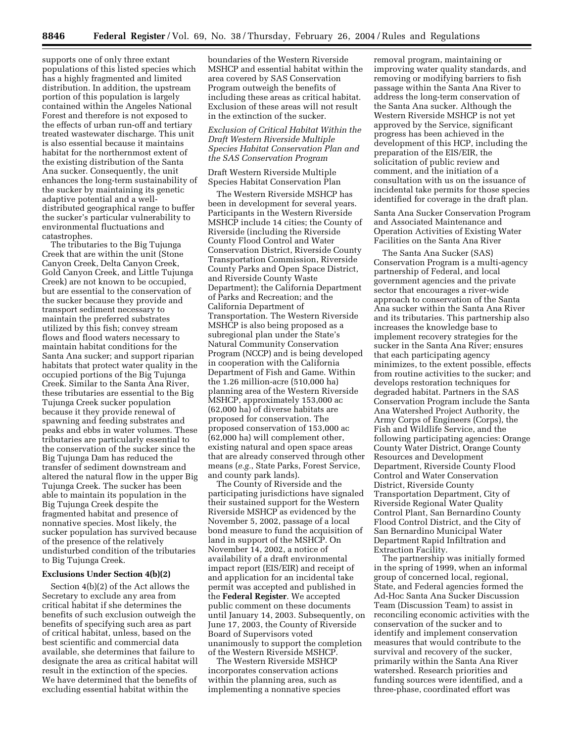supports one of only three extant populations of this listed species which has a highly fragmented and limited distribution. In addition, the upstream portion of this population is largely contained within the Angeles National Forest and therefore is not exposed to the effects of urban run-off and tertiary treated wastewater discharge. This unit is also essential because it maintains habitat for the northernmost extent of the existing distribution of the Santa Ana sucker. Consequently, the unit enhances the long-term sustainability of the sucker by maintaining its genetic adaptive potential and a welldistributed geographical range to buffer the sucker's particular vulnerability to environmental fluctuations and catastrophes.

The tributaries to the Big Tujunga Creek that are within the unit (Stone Canyon Creek, Delta Canyon Creek, Gold Canyon Creek, and Little Tujunga Creek) are not known to be occupied, but are essential to the conservation of the sucker because they provide and transport sediment necessary to maintain the preferred substrates utilized by this fish; convey stream flows and flood waters necessary to maintain habitat conditions for the Santa Ana sucker; and support riparian habitats that protect water quality in the occupied portions of the Big Tujunga Creek. Similar to the Santa Ana River, these tributaries are essential to the Big Tujunga Creek sucker population because it they provide renewal of spawning and feeding substrates and peaks and ebbs in water volumes. These tributaries are particularly essential to the conservation of the sucker since the Big Tujunga Dam has reduced the transfer of sediment downstream and altered the natural flow in the upper Big Tujunga Creek. The sucker has been able to maintain its population in the Big Tujunga Creek despite the fragmented habitat and presence of nonnative species. Most likely, the sucker population has survived because of the presence of the relatively undisturbed condition of the tributaries to Big Tujunga Creek.

## **Exclusions Under Section 4(b)(2)**

Section 4(b)(2) of the Act allows the Secretary to exclude any area from critical habitat if she determines the benefits of such exclusion outweigh the benefits of specifying such area as part of critical habitat, unless, based on the best scientific and commercial data available, she determines that failure to designate the area as critical habitat will result in the extinction of the species. We have determined that the benefits of excluding essential habitat within the

boundaries of the Western Riverside MSHCP and essential habitat within the area covered by SAS Conservation Program outweigh the benefits of including these areas as critical habitat. Exclusion of these areas will not result in the extinction of the sucker.

*Exclusion of Critical Habitat Within the Draft Western Riverside Multiple Species Habitat Conservation Plan and the SAS Conservation Program* 

Draft Western Riverside Multiple Species Habitat Conservation Plan

The Western Riverside MSHCP has been in development for several years. Participants in the Western Riverside MSHCP include 14 cities; the County of Riverside (including the Riverside County Flood Control and Water Conservation District, Riverside County Transportation Commission, Riverside County Parks and Open Space District, and Riverside County Waste Department); the California Department of Parks and Recreation; and the California Department of Transportation. The Western Riverside MSHCP is also being proposed as a subregional plan under the State's Natural Community Conservation Program (NCCP) and is being developed in cooperation with the California Department of Fish and Game. Within the 1.26 million-acre (510,000 ha) planning area of the Western Riverside MSHCP, approximately 153,000 ac (62,000 ha) of diverse habitats are proposed for conservation. The proposed conservation of 153,000 ac (62,000 ha) will complement other, existing natural and open space areas that are already conserved through other means (*e.g.*, State Parks, Forest Service, and county park lands).

The County of Riverside and the participating jurisdictions have signaled their sustained support for the Western Riverside MSHCP as evidenced by the November 5, 2002, passage of a local bond measure to fund the acquisition of land in support of the MSHCP. On November 14, 2002, a notice of availability of a draft environmental impact report (EIS/EIR) and receipt of and application for an incidental take permit was accepted and published in the **Federal Register**. We accepted public comment on these documents until January 14, 2003. Subsequently, on June 17, 2003, the County of Riverside Board of Supervisors voted unanimously to support the completion of the Western Riverside MSHCP.

The Western Riverside MSHCP incorporates conservation actions within the planning area, such as implementing a nonnative species removal program, maintaining or improving water quality standards, and removing or modifying barriers to fish passage within the Santa Ana River to address the long-term conservation of the Santa Ana sucker. Although the Western Riverside MSHCP is not yet approved by the Service, significant progress has been achieved in the development of this HCP, including the preparation of the EIS/EIR, the solicitation of public review and comment, and the initiation of a consultation with us on the issuance of incidental take permits for those species identified for coverage in the draft plan.

Santa Ana Sucker Conservation Program and Associated Maintenance and Operation Activities of Existing Water Facilities on the Santa Ana River

The Santa Ana Sucker (SAS) Conservation Program is a multi-agency partnership of Federal, and local government agencies and the private sector that encourages a river-wide approach to conservation of the Santa Ana sucker within the Santa Ana River and its tributaries. This partnership also increases the knowledge base to implement recovery strategies for the sucker in the Santa Ana River; ensures that each participating agency minimizes, to the extent possible, effects from routine activities to the sucker; and develops restoration techniques for degraded habitat. Partners in the SAS Conservation Program include the Santa Ana Watershed Project Authority, the Army Corps of Engineers (Corps), the Fish and Wildlife Service, and the following participating agencies: Orange County Water District, Orange County Resources and Development Department, Riverside County Flood Control and Water Conservation District, Riverside County Transportation Department, City of Riverside Regional Water Quality Control Plant, San Bernardino County Flood Control District, and the City of San Bernardino Municipal Water Department Rapid Infiltration and Extraction Facility.

The partnership was initially formed in the spring of 1999, when an informal group of concerned local, regional, State, and Federal agencies formed the Ad-Hoc Santa Ana Sucker Discussion Team (Discussion Team) to assist in reconciling economic activities with the conservation of the sucker and to identify and implement conservation measures that would contribute to the survival and recovery of the sucker, primarily within the Santa Ana River watershed. Research priorities and funding sources were identified, and a three-phase, coordinated effort was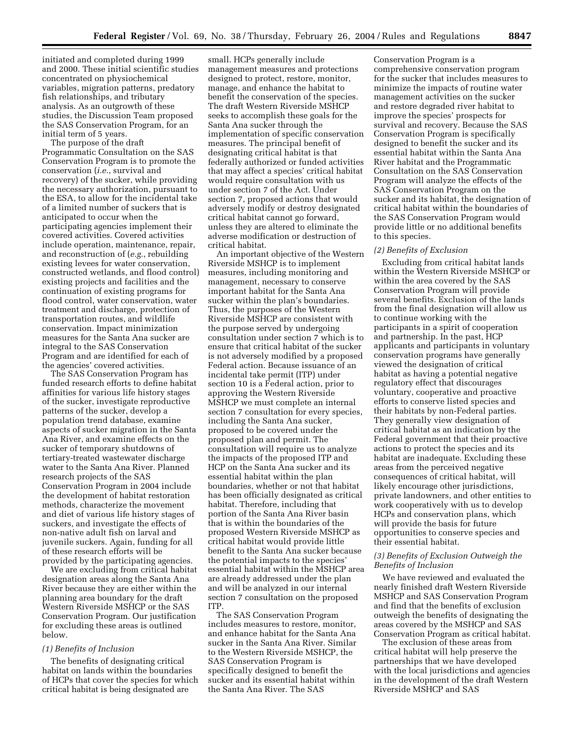initiated and completed during 1999 and 2000. These initial scientific studies concentrated on physiochemical variables, migration patterns, predatory fish relationships, and tributary analysis. As an outgrowth of these studies, the Discussion Team proposed the SAS Conservation Program, for an initial term of 5 years.

The purpose of the draft Programmatic Consultation on the SAS Conservation Program is to promote the conservation (*i.e.*, survival and recovery) of the sucker, while providing the necessary authorization, pursuant to the ESA, to allow for the incidental take of a limited number of suckers that is anticipated to occur when the participating agencies implement their covered activities. Covered activities include operation, maintenance, repair, and reconstruction of (*e.g.*, rebuilding existing levees for water conservation, constructed wetlands, and flood control) existing projects and facilities and the continuation of existing programs for flood control, water conservation, water treatment and discharge, protection of transportation routes, and wildlife conservation. Impact minimization measures for the Santa Ana sucker are integral to the SAS Conservation Program and are identified for each of the agencies' covered activities.

The SAS Conservation Program has funded research efforts to define habitat affinities for various life history stages of the sucker, investigate reproductive patterns of the sucker, develop a population trend database, examine aspects of sucker migration in the Santa Ana River, and examine effects on the sucker of temporary shutdowns of tertiary-treated wastewater discharge water to the Santa Ana River. Planned research projects of the SAS Conservation Program in 2004 include the development of habitat restoration methods, characterize the movement and diet of various life history stages of suckers, and investigate the effects of non-native adult fish on larval and juvenile suckers. Again, funding for all of these research efforts will be provided by the participating agencies.

We are excluding from critical habitat designation areas along the Santa Ana River because they are either within the planning area boundary for the draft Western Riverside MSHCP or the SAS Conservation Program. Our justification for excluding these areas is outlined below.

#### *(1) Benefits of Inclusion*

The benefits of designating critical habitat on lands within the boundaries of HCPs that cover the species for which critical habitat is being designated are

small. HCPs generally include management measures and protections designed to protect, restore, monitor, manage, and enhance the habitat to benefit the conservation of the species. The draft Western Riverside MSHCP seeks to accomplish these goals for the Santa Ana sucker through the implementation of specific conservation measures. The principal benefit of designating critical habitat is that federally authorized or funded activities that may affect a species' critical habitat would require consultation with us under section 7 of the Act. Under section 7, proposed actions that would adversely modify or destroy designated critical habitat cannot go forward, unless they are altered to eliminate the adverse modification or destruction of critical habitat.

An important objective of the Western Riverside MSHCP is to implement measures, including monitoring and management, necessary to conserve important habitat for the Santa Ana sucker within the plan's boundaries. Thus, the purposes of the Western Riverside MSHCP are consistent with the purpose served by undergoing consultation under section 7 which is to ensure that critical habitat of the sucker is not adversely modified by a proposed Federal action. Because issuance of an incidental take permit (ITP) under section 10 is a Federal action, prior to approving the Western Riverside MSHCP we must complete an internal section 7 consultation for every species, including the Santa Ana sucker, proposed to be covered under the proposed plan and permit. The consultation will require us to analyze the impacts of the proposed ITP and HCP on the Santa Ana sucker and its essential habitat within the plan boundaries, whether or not that habitat has been officially designated as critical habitat. Therefore, including that portion of the Santa Ana River basin that is within the boundaries of the proposed Western Riverside MSHCP as critical habitat would provide little benefit to the Santa Ana sucker because the potential impacts to the species' essential habitat within the MSHCP area are already addressed under the plan and will be analyzed in our internal section 7 consultation on the proposed ITP.

The SAS Conservation Program includes measures to restore, monitor, and enhance habitat for the Santa Ana sucker in the Santa Ana River. Similar to the Western Riverside MSHCP, the SAS Conservation Program is specifically designed to benefit the sucker and its essential habitat within the Santa Ana River. The SAS

Conservation Program is a comprehensive conservation program for the sucker that includes measures to minimize the impacts of routine water management activities on the sucker and restore degraded river habitat to improve the species' prospects for survival and recovery. Because the SAS Conservation Program is specifically designed to benefit the sucker and its essential habitat within the Santa Ana River habitat and the Programmatic Consultation on the SAS Conservation Program will analyze the effects of the SAS Conservation Program on the sucker and its habitat, the designation of critical habitat within the boundaries of the SAS Conservation Program would provide little or no additional benefits to this species.

#### *(2) Benefits of Exclusion*

Excluding from critical habitat lands within the Western Riverside MSHCP or within the area covered by the SAS Conservation Program will provide several benefits. Exclusion of the lands from the final designation will allow us to continue working with the participants in a spirit of cooperation and partnership. In the past, HCP applicants and participants in voluntary conservation programs have generally viewed the designation of critical habitat as having a potential negative regulatory effect that discourages voluntary, cooperative and proactive efforts to conserve listed species and their habitats by non-Federal parties. They generally view designation of critical habitat as an indication by the Federal government that their proactive actions to protect the species and its habitat are inadequate. Excluding these areas from the perceived negative consequences of critical habitat, will likely encourage other jurisdictions, private landowners, and other entities to work cooperatively with us to develop HCPs and conservation plans, which will provide the basis for future opportunities to conserve species and their essential habitat.

# *(3) Benefits of Exclusion Outweigh the Benefits of Inclusion*

We have reviewed and evaluated the nearly finished draft Western Riverside MSHCP and SAS Conservation Program and find that the benefits of exclusion outweigh the benefits of designating the areas covered by the MSHCP and SAS Conservation Program as critical habitat.

The exclusion of these areas from critical habitat will help preserve the partnerships that we have developed with the local jurisdictions and agencies in the development of the draft Western Riverside MSHCP and SAS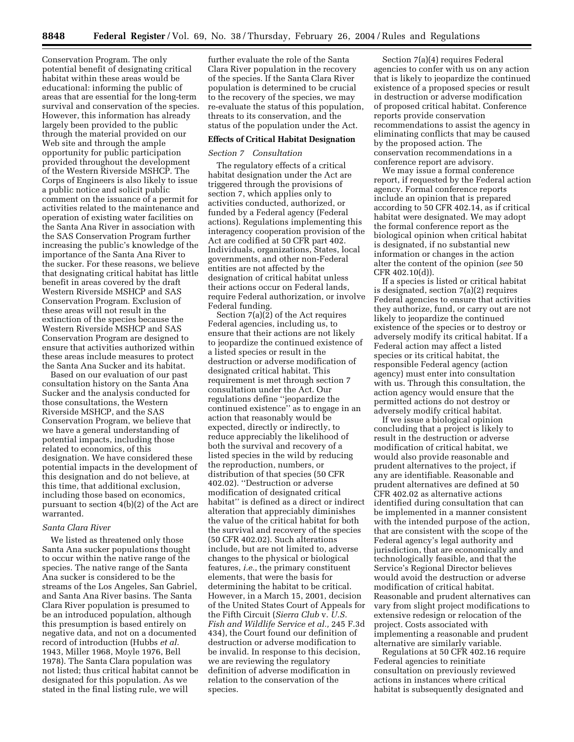Conservation Program. The only potential benefit of designating critical habitat within these areas would be educational: informing the public of areas that are essential for the long-term survival and conservation of the species. However, this information has already largely been provided to the public through the material provided on our Web site and through the ample opportunity for public participation provided throughout the development of the Western Riverside MSHCP. The Corps of Engineers is also likely to issue a public notice and solicit public comment on the issuance of a permit for activities related to the maintenance and operation of existing water facilities on the Santa Ana River in association with the SAS Conservation Program further increasing the public's knowledge of the importance of the Santa Ana River to the sucker. For these reasons, we believe that designating critical habitat has little benefit in areas covered by the draft Western Riverside MSHCP and SAS Conservation Program. Exclusion of these areas will not result in the extinction of the species because the Western Riverside MSHCP and SAS Conservation Program are designed to ensure that activities authorized within these areas include measures to protect the Santa Ana Sucker and its habitat.

Based on our evaluation of our past consultation history on the Santa Ana Sucker and the analysis conducted for those consultations, the Western Riverside MSHCP, and the SAS Conservation Program, we believe that we have a general understanding of potential impacts, including those related to economics, of this designation. We have considered these potential impacts in the development of this designation and do not believe, at this time, that additional exclusion, including those based on economics, pursuant to section 4(b)(2) of the Act are warranted.

#### *Santa Clara River*

We listed as threatened only those Santa Ana sucker populations thought to occur within the native range of the species. The native range of the Santa Ana sucker is considered to be the streams of the Los Angeles, San Gabriel, and Santa Ana River basins. The Santa Clara River population is presumed to be an introduced population, although this presumption is based entirely on negative data, and not on a documented record of introduction (Hubbs *et al.* 1943, Miller 1968, Moyle 1976, Bell 1978). The Santa Clara population was not listed; thus critical habitat cannot be designated for this population. As we stated in the final listing rule, we will

further evaluate the role of the Santa Clara River population in the recovery of the species. If the Santa Clara River population is determined to be crucial to the recovery of the species, we may re-evaluate the status of this population, threats to its conservation, and the status of the population under the Act.

# **Effects of Critical Habitat Designation**

#### *Section 7 Consultation*

The regulatory effects of a critical habitat designation under the Act are triggered through the provisions of section 7, which applies only to activities conducted, authorized, or funded by a Federal agency (Federal actions). Regulations implementing this interagency cooperation provision of the Act are codified at 50 CFR part 402. Individuals, organizations, States, local governments, and other non-Federal entities are not affected by the designation of critical habitat unless their actions occur on Federal lands, require Federal authorization, or involve Federal funding.

Section  $7(a)(\tilde{2})$  of the Act requires Federal agencies, including us, to ensure that their actions are not likely to jeopardize the continued existence of a listed species or result in the destruction or adverse modification of designated critical habitat. This requirement is met through section 7 consultation under the Act. Our regulations define ''jeopardize the continued existence'' as to engage in an action that reasonably would be expected, directly or indirectly, to reduce appreciably the likelihood of both the survival and recovery of a listed species in the wild by reducing the reproduction, numbers, or distribution of that species (50 CFR 402.02). ''Destruction or adverse modification of designated critical habitat'' is defined as a direct or indirect alteration that appreciably diminishes the value of the critical habitat for both the survival and recovery of the species (50 CFR 402.02). Such alterations include, but are not limited to, adverse changes to the physical or biological features, *i.e.*, the primary constituent elements, that were the basis for determining the habitat to be critical. However, in a March 15, 2001, decision of the United States Court of Appeals for the Fifth Circuit (*Sierra Club* v. *U.S. Fish and Wildlife Service et al.,* 245 F.3d 434), the Court found our definition of destruction or adverse modification to be invalid. In response to this decision, we are reviewing the regulatory definition of adverse modification in relation to the conservation of the species.

Section 7(a)(4) requires Federal agencies to confer with us on any action that is likely to jeopardize the continued existence of a proposed species or result in destruction or adverse modification of proposed critical habitat. Conference reports provide conservation recommendations to assist the agency in eliminating conflicts that may be caused by the proposed action. The conservation recommendations in a conference report are advisory.

We may issue a formal conference report, if requested by the Federal action agency. Formal conference reports include an opinion that is prepared according to 50 CFR 402.14, as if critical habitat were designated. We may adopt the formal conference report as the biological opinion when critical habitat is designated, if no substantial new information or changes in the action alter the content of the opinion (*see* 50 CFR 402.10(d)).

If a species is listed or critical habitat is designated, section 7(a)(2) requires Federal agencies to ensure that activities they authorize, fund, or carry out are not likely to jeopardize the continued existence of the species or to destroy or adversely modify its critical habitat. If a Federal action may affect a listed species or its critical habitat, the responsible Federal agency (action agency) must enter into consultation with us. Through this consultation, the action agency would ensure that the permitted actions do not destroy or adversely modify critical habitat.

If we issue a biological opinion concluding that a project is likely to result in the destruction or adverse modification of critical habitat, we would also provide reasonable and prudent alternatives to the project, if any are identifiable. Reasonable and prudent alternatives are defined at 50 CFR 402.02 as alternative actions identified during consultation that can be implemented in a manner consistent with the intended purpose of the action, that are consistent with the scope of the Federal agency's legal authority and jurisdiction, that are economically and technologically feasible, and that the Service's Regional Director believes would avoid the destruction or adverse modification of critical habitat. Reasonable and prudent alternatives can vary from slight project modifications to extensive redesign or relocation of the project. Costs associated with implementing a reasonable and prudent alternative are similarly variable.

Regulations at 50 CFR 402.16 require Federal agencies to reinitiate consultation on previously reviewed actions in instances where critical habitat is subsequently designated and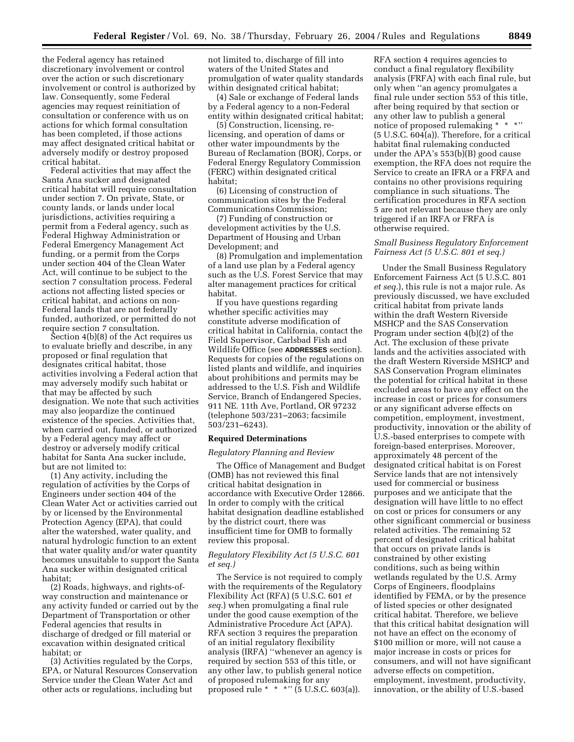the Federal agency has retained discretionary involvement or control over the action or such discretionary involvement or control is authorized by law. Consequently, some Federal agencies may request reinitiation of consultation or conference with us on actions for which formal consultation has been completed, if those actions may affect designated critical habitat or adversely modify or destroy proposed critical habitat.

Federal activities that may affect the Santa Ana sucker and designated critical habitat will require consultation under section 7. On private, State, or county lands, or lands under local jurisdictions, activities requiring a permit from a Federal agency, such as Federal Highway Administration or Federal Emergency Management Act funding, or a permit from the Corps under section 404 of the Clean Water Act, will continue to be subject to the section 7 consultation process. Federal actions not affecting listed species or critical habitat, and actions on non-Federal lands that are not federally funded, authorized, or permitted do not require section 7 consultation.

Section 4(b)(8) of the Act requires us to evaluate briefly and describe, in any proposed or final regulation that designates critical habitat, those activities involving a Federal action that may adversely modify such habitat or that may be affected by such designation. We note that such activities may also jeopardize the continued existence of the species. Activities that, when carried out, funded, or authorized by a Federal agency may affect or destroy or adversely modify critical habitat for Santa Ana sucker include, but are not limited to:

(1) Any activity, including the regulation of activities by the Corps of Engineers under section 404 of the Clean Water Act or activities carried out by or licensed by the Environmental Protection Agency (EPA), that could alter the watershed, water quality, and natural hydrologic function to an extent that water quality and/or water quantity becomes unsuitable to support the Santa Ana sucker within designated critical habitat;

(2) Roads, highways, and rights-ofway construction and maintenance or any activity funded or carried out by the Department of Transportation or other Federal agencies that results in discharge of dredged or fill material or excavation within designated critical habitat; or

(3) Activities regulated by the Corps, EPA, or Natural Resources Conservation Service under the Clean Water Act and other acts or regulations, including but

not limited to, discharge of fill into waters of the United States and promulgation of water quality standards within designated critical habitat;

(4) Sale or exchange of Federal lands by a Federal agency to a non-Federal entity within designated critical habitat;

(5) Construction, licensing, relicensing, and operation of dams or other water impoundments by the Bureau of Reclamation (BOR), Corps, or Federal Energy Regulatory Commission (FERC) within designated critical habitat;

(6) Licensing of construction of communication sites by the Federal Communications Commission;

(7) Funding of construction or development activities by the U.S. Department of Housing and Urban Development; and

(8) Promulgation and implementation of a land use plan by a Federal agency such as the U.S. Forest Service that may alter management practices for critical habitat.

If you have questions regarding whether specific activities may constitute adverse modification of critical habitat in California, contact the Field Supervisor, Carlsbad Fish and Wildlife Office (see **ADDRESSES** section). Requests for copies of the regulations on listed plants and wildlife, and inquiries about prohibitions and permits may be addressed to the U.S. Fish and Wildlife Service, Branch of Endangered Species, 911 NE. 11th Ave, Portland, OR 97232 (telephone 503/231–2063; facsimile 503/231–6243).

#### **Required Determinations**

#### *Regulatory Planning and Review*

The Office of Management and Budget (OMB) has not reviewed this final critical habitat designation in accordance with Executive Order 12866. In order to comply with the critical habitat designation deadline established by the district court, there was insufficient time for OMB to formally review this proposal.

# *Regulatory Flexibility Act (5 U.S.C. 601 et seq.)*

The Service is not required to comply with the requirements of the Regulatory Flexibility Act (RFA) (5 U.S.C. 601 *et seq.*) when promulgating a final rule under the good cause exemption of the Administrative Procedure Act (APA). RFA section 3 requires the preparation of an initial regulatory flexibility analysis (IRFA) ''whenever an agency is required by section 553 of this title, or any other law, to publish general notice of proposed rulemaking for any proposed rule \* \* \*" ( $5 \text{ U.S. C. } 603 \text{ (a)}$ ).

RFA section 4 requires agencies to conduct a final regulatory flexibility analysis (FRFA) with each final rule, but only when ''an agency promulgates a final rule under section 553 of this title, after being required by that section or any other law to publish a general notice of proposed rulemaking \* \* \*'' (5 U.S.C. 604(a)). Therefore, for a critical habitat final rulemaking conducted under the APA's  $553(b)$  $(B)$  good cause exemption, the RFA does not require the Service to create an IFRA or a FRFA and contains no other provisions requiring compliance in such situations. The certification procedures in RFA section 5 are not relevant because they are only triggered if an IRFA or FRFA is otherwise required.

# *Small Business Regulatory Enforcement Fairness Act (5 U.S.C. 801 et seq.)*

Under the Small Business Regulatory Enforcement Fairness Act (5 U.S.C. 801 *et seq.*), this rule is not a major rule. As previously discussed, we have excluded critical habitat from private lands within the draft Western Riverside MSHCP and the SAS Conservation Program under section 4(b)(2) of the Act. The exclusion of these private lands and the activities associated with the draft Western Riverside MSHCP and SAS Conservation Program eliminates the potential for critical habitat in these excluded areas to have any effect on the increase in cost or prices for consumers or any significant adverse effects on competition, employment, investment, productivity, innovation or the ability of U.S.-based enterprises to compete with foreign-based enterprises. Moreover, approximately 48 percent of the designated critical habitat is on Forest Service lands that are not intensively used for commercial or business purposes and we anticipate that the designation will have little to no effect on cost or prices for consumers or any other significant commercial or business related activities. The remaining 52 percent of designated critical habitat that occurs on private lands is constrained by other existing conditions, such as being within wetlands regulated by the U.S. Army Corps of Engineers, floodplains identified by FEMA, or by the presence of listed species or other designated critical habitat. Therefore, we believe that this critical habitat designation will not have an effect on the economy of \$100 million or more, will not cause a major increase in costs or prices for consumers, and will not have significant adverse effects on competition, employment, investment, productivity, innovation, or the ability of U.S.-based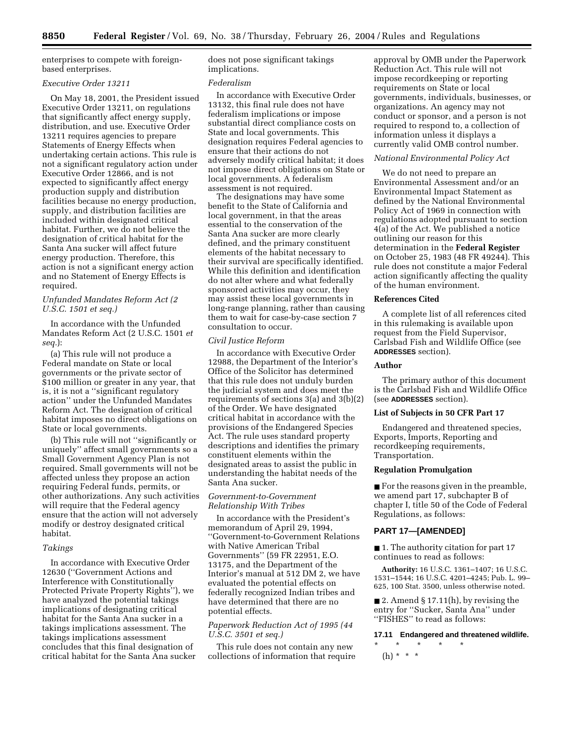enterprises to compete with foreignbased enterprises.

## *Executive Order 13211*

On May 18, 2001, the President issued Executive Order 13211, on regulations that significantly affect energy supply, distribution, and use. Executive Order 13211 requires agencies to prepare Statements of Energy Effects when undertaking certain actions. This rule is not a significant regulatory action under Executive Order 12866, and is not expected to significantly affect energy production supply and distribution facilities because no energy production, supply, and distribution facilities are included within designated critical habitat. Further, we do not believe the designation of critical habitat for the Santa Ana sucker will affect future energy production. Therefore, this action is not a significant energy action and no Statement of Energy Effects is required.

# *Unfunded Mandates Reform Act (2 U.S.C. 1501 et seq.)*

In accordance with the Unfunded Mandates Reform Act (2 U.S.C. 1501 *et seq.*):

(a) This rule will not produce a Federal mandate on State or local governments or the private sector of \$100 million or greater in any year, that is, it is not a ''significant regulatory action'' under the Unfunded Mandates Reform Act. The designation of critical habitat imposes no direct obligations on State or local governments.

(b) This rule will not ''significantly or uniquely'' affect small governments so a Small Government Agency Plan is not required. Small governments will not be affected unless they propose an action requiring Federal funds, permits, or other authorizations. Any such activities will require that the Federal agency ensure that the action will not adversely modify or destroy designated critical habitat.

#### *Takings*

In accordance with Executive Order 12630 (''Government Actions and Interference with Constitutionally Protected Private Property Rights''), we have analyzed the potential takings implications of designating critical habitat for the Santa Ana sucker in a takings implications assessment. The takings implications assessment concludes that this final designation of critical habitat for the Santa Ana sucker does not pose significant takings implications.

#### *Federalism*

In accordance with Executive Order 13132, this final rule does not have federalism implications or impose substantial direct compliance costs on State and local governments. This designation requires Federal agencies to ensure that their actions do not adversely modify critical habitat; it does not impose direct obligations on State or local governments. A federalism assessment is not required.

The designations may have some benefit to the State of California and local government, in that the areas essential to the conservation of the Santa Ana sucker are more clearly defined, and the primary constituent elements of the habitat necessary to their survival are specifically identified. While this definition and identification do not alter where and what federally sponsored activities may occur, they may assist these local governments in long-range planning, rather than causing them to wait for case-by-case section 7 consultation to occur.

#### *Civil Justice Reform*

In accordance with Executive Order 12988, the Department of the Interior's Office of the Solicitor has determined that this rule does not unduly burden the judicial system and does meet the requirements of sections 3(a) and 3(b)(2) of the Order. We have designated critical habitat in accordance with the provisions of the Endangered Species Act. The rule uses standard property descriptions and identifies the primary constituent elements within the designated areas to assist the public in understanding the habitat needs of the Santa Ana sucker.

## *Government-to-Government Relationship With Tribes*

In accordance with the President's memorandum of April 29, 1994, ''Government-to-Government Relations with Native American Tribal Governments'' (59 FR 22951, E.O. 13175, and the Department of the Interior's manual at 512 DM 2, we have evaluated the potential effects on federally recognized Indian tribes and have determined that there are no potential effects.

## *Paperwork Reduction Act of 1995 (44 U.S.C. 3501 et seq.)*

This rule does not contain any new collections of information that require

approval by OMB under the Paperwork Reduction Act. This rule will not impose recordkeeping or reporting requirements on State or local governments, individuals, businesses, or organizations. An agency may not conduct or sponsor, and a person is not required to respond to, a collection of information unless it displays a currently valid OMB control number.

# *National Environmental Policy Act*

We do not need to prepare an Environmental Assessment and/or an Environmental Impact Statement as defined by the National Environmental Policy Act of 1969 in connection with regulations adopted pursuant to section 4(a) of the Act. We published a notice outlining our reason for this determination in the **Federal Register** on October 25, 1983 (48 FR 49244). This rule does not constitute a major Federal action significantly affecting the quality of the human environment.

## **References Cited**

A complete list of all references cited in this rulemaking is available upon request from the Field Supervisor, Carlsbad Fish and Wildlife Office (see **ADDRESSES** section).

#### **Author**

The primary author of this document is the Carlsbad Fish and Wildlife Office (see **ADDRESSES** section).

#### **List of Subjects in 50 CFR Part 17**

Endangered and threatened species, Exports, Imports, Reporting and recordkeeping requirements, Transportation.

#### **Regulation Promulgation**

■ For the reasons given in the preamble, we amend part 17, subchapter B of chapter I, title 50 of the Code of Federal Regulations, as follows:

## **PART 17—[AMENDED]**

■ 1. The authority citation for part 17 continues to read as follows:

**Authority:** 16 U.S.C. 1361–1407; 16 U.S.C. 1531–1544; 16 U.S.C. 4201–4245; Pub. L. 99– 625, 100 Stat. 3500, unless otherwise noted.

 $\blacksquare$  2. Amend § 17.11(h), by revising the entry for ''Sucker, Santa Ana'' under ''FISHES'' to read as follows:

#### **17.11 Endangered and threatened wildlife.**

\* \* \* \* \* (h) \* \* \*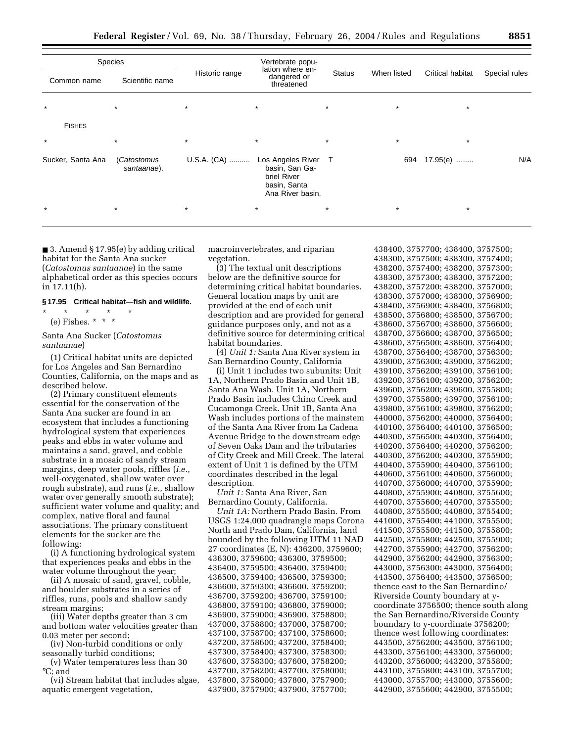|                   | <b>Species</b>             |                | Vertebrate popu-                                                                         |               |             |                  |               |
|-------------------|----------------------------|----------------|------------------------------------------------------------------------------------------|---------------|-------------|------------------|---------------|
| Common name       | Scientific name            | Historic range | lation where en-<br>dangered or<br>threatened                                            | <b>Status</b> | When listed | Critical habitat | Special rules |
| $\star$           | $\star$                    | $\star$        | $\star$                                                                                  | $\star$       | $\star$     | $\star$          |               |
| <b>FISHES</b>     |                            |                |                                                                                          |               |             |                  |               |
| $\star$           | $\star$                    | $\star$        | $\star$                                                                                  | $\star$       | $\star$     | $\star$          |               |
| Sucker, Santa Ana | (Catostomus<br>santaanae). | U.S.A. (CA)    | Los Angeles River T<br>basin, San Ga-<br>briel River<br>basin, Santa<br>Ana River basin. |               | 694         | 17.95(e)         | N/A           |
| $\star$           | $\star$                    | $\star$        | $\star$                                                                                  | $\ast$        | $\star$     | $\star$          |               |

■ 3. Amend § 17.95(e) by adding critical habitat for the Santa Ana sucker (*Catostomus santaanae*) in the same alphabetical order as this species occurs in 17.11(h).

# **§ 17.95 Critical habitat—fish and wildlife.**

 $*$  \* (e) Fishes.  $* * * *$ 

Santa Ana Sucker (*Catostomus santaanae*)

(1) Critical habitat units are depicted for Los Angeles and San Bernardino Counties, California, on the maps and as described below.

(2) Primary constituent elements essential for the conservation of the Santa Ana sucker are found in an ecosystem that includes a functioning hydrological system that experiences peaks and ebbs in water volume and maintains a sand, gravel, and cobble substrate in a mosaic of sandy stream margins, deep water pools, riffles (*i.e.*, well-oxygenated, shallow water over rough substrate), and runs (*i.e.*, shallow water over generally smooth substrate); sufficient water volume and quality; and complex, native floral and faunal associations. The primary constituent elements for the sucker are the following:

(i) A functioning hydrological system that experiences peaks and ebbs in the water volume throughout the year;

(ii) A mosaic of sand, gravel, cobble, and boulder substrates in a series of riffles, runs, pools and shallow sandy stream margins;

(iii) Water depths greater than 3 cm and bottom water velocities greater than 0.03 meter per second;

(iv) Non-turbid conditions or only seasonally turbid conditions;

(v) Water temperatures less than 30 °C; and

(vi) Stream habitat that includes algae, aquatic emergent vegetation,

macroinvertebrates, and riparian vegetation.

(3) The textual unit descriptions below are the definitive source for determining critical habitat boundaries. General location maps by unit are provided at the end of each unit description and are provided for general guidance purposes only, and not as a definitive source for determining critical habitat boundaries.

(4) *Unit 1:* Santa Ana River system in San Bernardino County, California

(i) Unit 1 includes two subunits: Unit 1A, Northern Prado Basin and Unit 1B, Santa Ana Wash. Unit 1A, Northern Prado Basin includes Chino Creek and Cucamonga Creek. Unit 1B, Santa Ana Wash includes portions of the mainstem of the Santa Ana River from La Cadena Avenue Bridge to the downstream edge of Seven Oaks Dam and the tributaries of City Creek and Mill Creek. The lateral extent of Unit 1 is defined by the UTM coordinates described in the legal description.

*Unit 1:* Santa Ana River, San Bernardino County, California.

*Unit 1A:* Northern Prado Basin. From USGS 1:24,000 quadrangle maps Corona North and Prado Dam, California, land bounded by the following UTM 11 NAD 27 coordinates (E, N): 436200, 3759600; 436300, 3759600; 436300, 3759500; 436400, 3759500; 436400, 3759400; 436500, 3759400; 436500, 3759300; 436600, 3759300; 436600, 3759200; 436700, 3759200; 436700, 3759100; 436800, 3759100; 436800, 3759000; 436900, 3759000; 436900, 3758800; 437000, 3758800; 437000, 3758700; 437100, 3758700; 437100, 3758600; 437200, 3758600; 437200, 3758400; 437300, 3758400; 437300, 3758300; 437600, 3758300; 437600, 3758200; 437700, 3758200; 437700, 3758000; 437800, 3758000; 437800, 3757900; 437900, 3757900; 437900, 3757700;

438400, 3757700; 438400, 3757500; 438300, 3757500; 438300, 3757400; 438200, 3757400; 438200, 3757300; 438300, 3757300; 438300, 3757200; 438200, 3757200; 438200, 3757000; 438300, 3757000; 438300, 3756900; 438400, 3756900; 438400, 3756800; 438500, 3756800; 438500, 3756700; 438600, 3756700; 438600, 3756600; 438700, 3756600; 438700, 3756500; 438600, 3756500; 438600, 3756400; 438700, 3756400; 438700, 3756300; 439000, 3756300; 439000, 3756200; 439100, 3756200; 439100, 3756100; 439200, 3756100; 439200, 3756200; 439600, 3756200; 439600, 3755800; 439700, 3755800; 439700, 3756100; 439800, 3756100; 439800, 3756200; 440000, 3756200; 440000, 3756400; 440100, 3756400; 440100, 3756500; 440300, 3756500; 440300, 3756400; 440200, 3756400; 440200, 3756200; 440300, 3756200; 440300, 3755900; 440400, 3755900; 440400, 3756100; 440600, 3756100; 440600, 3756000; 440700, 3756000; 440700, 3755900; 440800, 3755900; 440800, 3755600; 440700, 3755600; 440700, 3755500; 440800, 3755500; 440800, 3755400; 441000, 3755400; 441000, 3755500; 441500, 3755500; 441500, 3755800; 442500, 3755800; 442500, 3755900; 442700, 3755900; 442700, 3756200; 442900, 3756200; 442900, 3756300; 443000, 3756300; 443000, 3756400; 443500, 3756400; 443500, 3756500; thence east to the San Bernardino/ Riverside County boundary at ycoordinate 3756500; thence south along the San Bernardino/Riverside County boundary to y-coordinate 3756200; thence west following coordinates: 443500, 3756200; 443500, 3756100; 443300, 3756100; 443300, 3756000; 443200, 3756000; 443200, 3755800; 443100, 3755800; 443100, 3755700; 443000, 3755700; 443000, 3755600; 442900, 3755600; 442900, 3755500;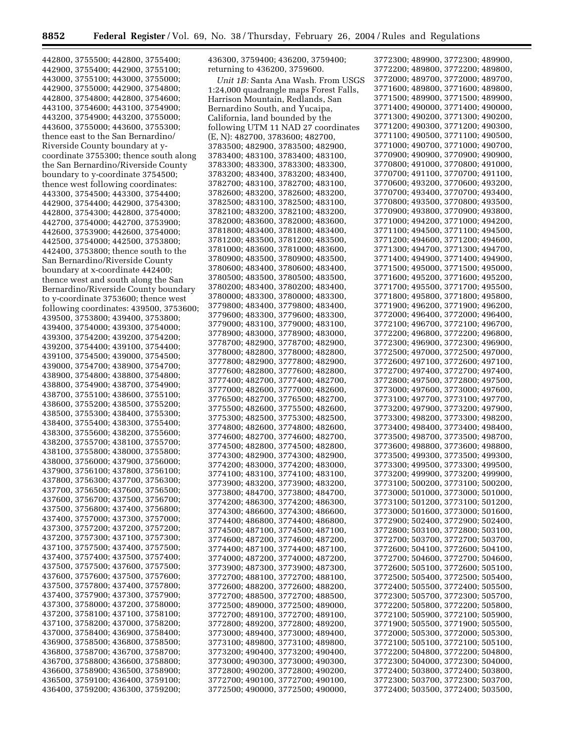442800, 3755500; 442800, 3755400; 442900, 3755400; 442900, 3755100; 443000, 3755100; 443000, 3755000; 442900, 3755000; 442900, 3754800; 442800, 3754800; 442800, 3754600; 443100, 3754600; 443100, 3754900; 443200, 3754900; 443200, 3755000; 443600, 3755000; 443600, 3755300; thence east to the San Bernardino/ Riverside County boundary at ycoordinate 3755300; thence south along the San Bernardino/Riverside County boundary to y-coordinate 3754500; thence west following coordinates: 443300, 3754500; 443300, 3754400; 442900, 3754400; 442900, 3754300; 442800, 3754300; 442800, 3754000; 442700, 3754000; 442700, 3753900; 442600, 3753900; 442600, 3754000; 442500, 3754000; 442500, 3753800; 442400, 3753800; thence south to the San Bernardino/Riverside County boundary at x-coordinate 442400; thence west and south along the San Bernardino/Riverside County boundary to y-coordinate 3753600; thence west following coordinates: 439500, 3753600; 439500, 3753800; 439400, 3753800; 439400, 3754000; 439300, 3754000; 439300, 3754200; 439200, 3754200; 439200, 3754400; 439100, 3754400; 439100, 3754500; 439000, 3754500; 439000, 3754700; 438900, 3754700; 438900, 3754800; 438800, 3754800; 438800, 3754900; 438700, 3754900; 438700, 3755100; 438600, 3755100; 438600, 3755200; 438500, 3755200; 438500, 3755300; 438400, 3755300; 438400, 3755400; 438300, 3755400; 438300, 3755600; 438200, 3755600; 438200, 3755700; 438100, 3755700; 438100, 3755800; 438000, 3755800; 438000, 3756000; 437900, 3756000; 437900, 3756100; 437800, 3756100; 437800, 3756300; 437700, 3756300; 437700, 3756500; 437600, 3756500; 437600, 3756700; 437500, 3756700; 437500, 3756800; 437400, 3756800; 437400, 3757000; 437300, 3757000; 437300, 3757200; 437200, 3757200; 437200, 3757300; 437100, 3757300; 437100, 3757500; 437400, 3757500; 437400, 3757400; 437500, 3757400; 437500, 3757500; 437600, 3757500; 437600, 3757600; 437500, 3757600; 437500, 3757800; 437400, 3757800; 437400, 3757900; 437300, 3757900; 437300, 3758000; 437200, 3758000; 437200, 3758100; 437100, 3758100; 437100, 3758200; 437000, 3758200; 437000, 3758400; 436900, 3758400; 436900, 3758500; 436800, 3758500; 436800, 3758700; 436700, 3758700; 436700, 3758800; 436600, 3758800; 436600, 3758900; 436500, 3758900; 436500, 3759100; 436400, 3759100;

436400, 3759200; 436300, 3759200;

436300, 3759400; 436200, 3759400; returning to 436200, 3759600.

*Unit 1B:* Santa Ana Wash. From USGS 1:24,000 quadrangle maps Forest Falls, Harrison Mountain, Redlands, San Bernardino South, and Yucaipa, California, land bounded by the following UTM 11 NAD 27 coordinates (E, N): 482700, 3783600; 482700, 3783500; 482900, 3783500; 482900, 3783400; 483100, 3783400; 483100, 3783300; 483300, 3783300; 483300, 3783200; 483400, 3783200; 483400, 3782700; 483100, 3782700; 483100, 3782600; 483200, 3782600; 483200, 3782500; 483100, 3782500; 483100, 3782100; 483200, 3782100; 483200, 3782000; 483600, 3782000; 483600, 3781800; 483400, 3781800; 483400, 3781200; 483500, 3781200; 483500, 3781000; 483600, 3781000; 483600, 3780900; 483500, 3780900; 483500, 3780600; 483400, 3780600; 483400, 3780500; 483500, 3780500; 483500, 3780200; 483400, 3780200; 483400, 3780000; 483300, 3780000; 483300, 3779800; 483400, 3779800; 483400, 3779600; 483300, 3779600; 483300, 3779000; 483100, 3779000; 483100, 3778900; 483000, 3778900; 483000, 3778700; 482900, 3778700; 482900, 3778000; 482800, 3778000; 482800, 3777800; 482900, 3777800; 482900, 3777600; 482800, 3777600; 482800, 3777400; 482700, 3777400; 482700, 3777000; 482600, 3777000; 482600, 3776500; 482700, 3776500; 482700, 3775500; 482600, 3775500; 482600, 3775300; 482500, 3775300; 482500, 3774800; 482600, 3774800; 482600, 3774600; 482700, 3774600; 482700, 3774500; 482800, 3774500; 482800, 3774300; 482900, 3774300; 482900, 3774200; 483000, 3774200; 483000, 3774100; 483100, 3774100; 483100, 3773900; 483200, 3773900; 483200, 3773800; 484700, 3773800; 484700, 3774200; 486300, 3774200; 486300, 3774300; 486600, 3774300; 486600, 3774400; 486800, 3774400; 486800, 3774500; 487100, 3774500; 487100, 3774600; 487200, 3774600; 487200, 3774400; 487100, 3774400; 487100, 3774000; 487200, 3774000; 487200, 3773900; 487300, 3773900; 487300, 3772700; 488100, 3772700; 488100, 3772600; 488200, 3772600; 488200, 3772700; 488500, 3772700; 488500, 3772500; 489000, 3772500; 489000, 3772700; 489100, 3772700; 489100, 3772800; 489200, 3772800; 489200, 3773000; 489400, 3773000; 489400, 3773100; 489800, 3773100; 489800, 3773200; 490400, 3773200; 490400, 3773000; 490300, 3773000; 490300, 3772800; 490200, 3772800; 490200, 3772700; 490100, 3772700; 490100, 3772500; 490000, 3772500; 490000,

3772300; 489900, 3772300; 489900, 3772200; 489800, 3772200; 489800, 3772000; 489700, 3772000; 489700, 3771600; 489800, 3771600; 489800, 3771500; 489900, 3771500; 489900, 3771400; 490000, 3771400; 490000, 3771300; 490200, 3771300; 490200, 3771200; 490300, 3771200; 490300, 3771100; 490500, 3771100; 490500, 3771000; 490700, 3771000; 490700, 3770900; 490900, 3770900; 490900, 3770800; 491000, 3770800; 491000, 3770700; 491100, 3770700; 491100, 3770600; 493200, 3770600; 493200, 3770700; 493400, 3770700; 493400, 3770800; 493500, 3770800; 493500, 3770900; 493800, 3770900; 493800, 3771000; 494200, 3771000; 494200, 3771100; 494500, 3771100; 494500, 3771200; 494600, 3771200; 494600, 3771300; 494700, 3771300; 494700, 3771400; 494900, 3771400; 494900, 3771500; 495000, 3771500; 495000, 3771600; 495200, 3771600; 495200, 3771700; 495500, 3771700; 495500, 3771800; 495800, 3771800; 495800, 3771900; 496200, 3771900; 496200, 3772000; 496400, 3772000; 496400, 3772100; 496700, 3772100; 496700, 3772200; 496800, 3772200; 496800, 3772300; 496900, 3772300; 496900, 3772500; 497000, 3772500; 497000, 3772600; 497100, 3772600; 497100, 3772700; 497400, 3772700; 497400, 3772800; 497500, 3772800; 497500, 3773000; 497600, 3773000; 497600, 3773100; 497700, 3773100; 497700, 3773200; 497900, 3773200; 497900, 3773300; 498200, 3773300; 498200, 3773400; 498400, 3773400; 498400, 3773500; 498700, 3773500; 498700, 3773600; 498800, 3773600; 498800, 3773500; 499300, 3773500; 499300, 3773300; 499500, 3773300; 499500, 3773200; 499900, 3773200; 499900, 3773100; 500200, 3773100; 500200, 3773000; 501000, 3773000; 501000, 3773100; 501200, 3773100; 501200, 3773000; 501600, 3773000; 501600, 3772900; 502400, 3772900; 502400, 3772800; 503100, 3772800; 503100, 3772700; 503700, 3772700; 503700, 3772600; 504100, 3772600; 504100, 3772700; 504600, 3772700; 504600, 3772600; 505100, 3772600; 505100, 3772500; 505400, 3772500; 505400, 3772400; 505500, 3772400; 505500, 3772300; 505700, 3772300; 505700, 3772200; 505800, 3772200; 505800, 3772100; 505900, 3772100; 505900, 3771900; 505500, 3771900; 505500, 3772000; 505300, 3772000; 505300, 3772100; 505100, 3772100; 505100, 3772200; 504800, 3772200; 504800, 3772300; 504000, 3772300; 504000, 3772400; 503800, 3772400; 503800, 3772300; 503700, 3772300; 503700, 3772400; 503500, 3772400; 503500,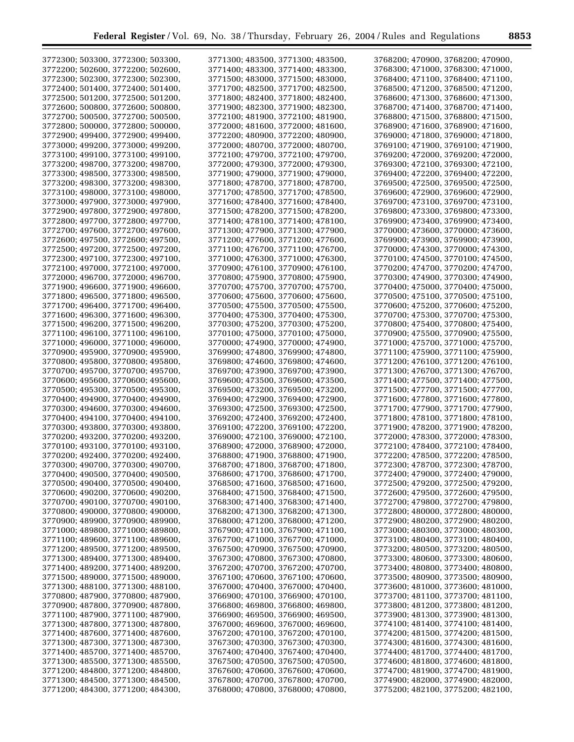| 3772300; 503300, 3772300; 503300, | 3771300; 483500, 3771300; 483500, | 3768200; 470900, 3768200; 470900, |
|-----------------------------------|-----------------------------------|-----------------------------------|
| 3772200; 502600, 3772200; 502600, | 3771400; 483300, 3771400; 483300, | 3768300; 471000, 3768300; 471000, |
| 3772300; 502300, 3772300; 502300, | 3771500; 483000, 3771500; 483000, | 3768400; 471100, 3768400; 471100, |
| 3772400; 501400, 3772400; 501400, | 3771700; 482500, 3771700; 482500, | 3768500; 471200, 3768500; 471200, |
|                                   |                                   |                                   |
| 3772500; 501200, 3772500; 501200, | 3771800; 482400, 3771800; 482400, | 3768600; 471300, 3768600; 471300, |
| 3772600; 500800, 3772600; 500800, | 3771900; 482300, 3771900; 482300, | 3768700; 471400, 3768700; 471400, |
| 3772700; 500500, 3772700; 500500, | 3772100; 481900, 3772100; 481900, | 3768800; 471500, 3768800; 471500, |
| 3772800; 500000, 3772800; 500000, | 3772000; 481600, 3772000; 481600, | 3768900; 471600, 3768900; 471600, |
| 3772900; 499400, 3772900; 499400, | 3772200; 480900, 3772200; 480900, | 3769000; 471800, 3769000; 471800, |
| 3773000; 499200, 3773000; 499200, | 3772000; 480700, 3772000; 480700, | 3769100; 471900, 3769100; 471900, |
| 3773100; 499100, 3773100; 499100, | 3772100; 479700, 3772100; 479700, | 3769200; 472000, 3769200; 472000, |
| 3773200; 498700, 3773200; 498700, | 3772000; 479300, 3772000; 479300, | 3769300; 472100, 3769300; 472100, |
| 3773300; 498500, 3773300; 498500, | 3771900; 479000, 3771900; 479000, | 3769400; 472200, 3769400; 472200, |
| 3773200; 498300, 3773200; 498300, | 3771800; 478700, 3771800; 478700, | 3769500; 472500, 3769500; 472500, |
| 3773100; 498000, 3773100; 498000, |                                   |                                   |
|                                   | 3771700; 478500, 3771700; 478500, | 3769600; 472900, 3769600; 472900, |
| 3773000; 497900, 3773000; 497900, | 3771600; 478400, 3771600; 478400, | 3769700; 473100, 3769700; 473100, |
| 3772900; 497800, 3772900; 497800, | 3771500; 478200, 3771500; 478200, | 3769800; 473300, 3769800; 473300, |
| 3772800; 497700, 3772800; 497700, | 3771400; 478100, 3771400; 478100, | 3769900; 473400, 3769900; 473400, |
| 3772700; 497600, 3772700; 497600, | 3771300; 477900, 3771300; 477900, | 3770000; 473600, 3770000; 473600, |
| 3772600; 497500, 3772600; 497500, | 3771200; 477600, 3771200; 477600, | 3769900; 473900, 3769900; 473900, |
| 3772500; 497200, 3772500; 497200, | 3771100; 476700, 3771100; 476700, | 3770000; 474300, 3770000; 474300, |
| 3772300; 497100, 3772300; 497100, | 3771000; 476300, 3771000; 476300, | 3770100; 474500, 3770100; 474500, |
| 3772100; 497000, 3772100; 497000, | 3770900; 476100, 3770900; 476100, | 3770200; 474700, 3770200; 474700, |
| 3772000; 496700, 3772000; 496700, | 3770800; 475900, 3770800; 475900, | 3770300; 474900, 3770300; 474900, |
| 3771900; 496600, 3771900; 496600, | 3770700; 475700, 3770700; 475700, | 3770400; 475000, 3770400; 475000, |
| 3771800; 496500, 3771800; 496500, | 3770600; 475600, 3770600; 475600, | 3770500; 475100, 3770500; 475100, |
| 3771700; 496400, 3771700; 496400, | 3770500; 475500, 3770500; 475500, | 3770600; 475200, 3770600; 475200, |
| 3771600; 496300, 3771600; 496300, | 3770400; 475300, 3770400; 475300, | 3770700; 475300, 3770700; 475300, |
| 3771500; 496200, 3771500; 496200, | 3770300; 475200, 3770300; 475200, | 3770800; 475400, 3770800; 475400, |
|                                   |                                   |                                   |
| 3771100; 496100, 3771100; 496100, | 3770100; 475000, 3770100; 475000, | 3770900; 475500, 3770900; 475500, |
| 3771000; 496000, 3771000; 496000, | 3770000; 474900, 3770000; 474900, | 3771000; 475700, 3771000; 475700, |
| 3770900; 495900, 3770900; 495900, | 3769900; 474800, 3769900; 474800, | 3771100; 475900, 3771100; 475900, |
| 3770800; 495800, 3770800; 495800, | 3769800; 474600, 3769800; 474600, | 3771200; 476100, 3771200; 476100, |
| 3770700; 495700, 3770700; 495700, | 3769700; 473900, 3769700; 473900, | 3771300; 476700, 3771300; 476700, |
| 3770600; 495600, 3770600; 495600, | 3769600; 473500, 3769600; 473500, | 3771400; 477500, 3771400; 477500, |
| 3770500; 495300, 3770500; 495300, | 3769500; 473200, 3769500; 473200, | 3771500; 477700, 3771500; 477700, |
| 3770400; 494900, 3770400; 494900, | 3769400; 472900, 3769400; 472900, | 3771600; 477800, 3771600; 477800, |
| 3770300; 494600, 3770300; 494600, | 3769300; 472500, 3769300; 472500, | 3771700; 477900, 3771700; 477900, |
| 3770400; 494100, 3770400; 494100, | 3769200; 472400, 3769200; 472400, | 3771800; 478100, 3771800; 478100, |
| 3770300; 493800, 3770300; 493800, | 3769100; 472200, 3769100; 472200, | 3771900; 478200, 3771900; 478200, |
| 3770200; 493200, 3770200; 493200, | 3769000; 472100, 3769000; 472100, | 3772000; 478300, 3772000; 478300, |
| 3770100; 493100, 3770100; 493100, | 3768900; 472000, 3768900; 472000, | 3772100; 478400, 3772100; 478400, |
| 3770200; 492400, 3770200; 492400, | 3768800; 471900, 3768800; 471900, | 3772200; 478500, 3772200; 478500, |
| 3770300; 490700, 3770300; 490700, | 3768700; 471800, 3768700; 471800, | 3772300; 478700, 3772300; 478700, |
| 3770400; 490500, 3770400; 490500, | 3768600; 471700, 3768600; 471700, | 3772400; 479000, 3772400; 479000, |
| 3770500; 490400, 3770500; 490400, | 3768500; 471600, 3768500; 471600, | 3772500; 479200, 3772500; 479200, |
| 3770600; 490200, 3770600; 490200, | 3768400; 471500, 3768400; 471500, | 3772600; 479500, 3772600; 479500, |
|                                   |                                   |                                   |
| 3770700; 490100, 3770700; 490100, | 3768300; 471400, 3768300; 471400, | 3772700; 479800, 3772700; 479800, |
| 3770800; 490000, 3770800; 490000, | 3768200; 471300, 3768200; 471300, | 3772800; 480000, 3772800; 480000, |
| 3770900; 489900, 3770900; 489900, | 3768000; 471200, 3768000; 471200, | 3772900; 480200, 3772900; 480200, |
| 3771000; 489800, 3771000; 489800, | 3767900; 471100, 3767900; 471100, | 3773000; 480300, 3773000; 480300, |
| 3771100; 489600, 3771100; 489600, | 3767700; 471000, 3767700; 471000, | 3773100; 480400, 3773100; 480400, |
| 3771200; 489500, 3771200; 489500, | 3767500; 470900, 3767500; 470900, | 3773200; 480500, 3773200; 480500, |
| 3771300; 489400, 3771300; 489400, | 3767300; 470800, 3767300; 470800, | 3773300; 480600, 3773300; 480600, |
| 3771400; 489200, 3771400; 489200, | 3767200; 470700, 3767200; 470700, | 3773400; 480800, 3773400; 480800, |
| 3771500; 489000, 3771500; 489000, | 3767100; 470600, 3767100; 470600, | 3773500; 480900, 3773500; 480900, |
| 3771300; 488100, 3771300; 488100, | 3767000; 470400, 3767000; 470400, | 3773600; 481000, 3773600; 481000, |
| 3770800; 487900, 3770800; 487900, | 3766900; 470100, 3766900; 470100, | 3773700; 481100, 3773700; 481100, |
| 3770900; 487800, 3770900; 487800, | 3766800; 469800, 3766800; 469800, | 3773800; 481200, 3773800; 481200, |
| 3771100; 487900, 3771100; 487900, | 3766900; 469500, 3766900; 469500, | 3773900; 481300, 3773900; 481300, |
| 3771300; 487800, 3771300; 487800, | 3767000; 469600, 3767000; 469600, | 3774100; 481400, 3774100; 481400, |
| 3771400; 487600, 3771400; 487600, | 3767200; 470100, 3767200; 470100, | 3774200; 481500, 3774200; 481500, |
| 3771300; 487300, 3771300; 487300, | 3767300; 470300, 3767300; 470300, | 3774300; 481600, 3774300; 481600, |
| 3771400; 485700, 3771400; 485700, | 3767400; 470400, 3767400; 470400, | 3774400; 481700, 3774400; 481700, |
| 3771300; 485500, 3771300; 485500, | 3767500; 470500, 3767500; 470500, | 3774600; 481800, 3774600; 481800, |
| 3771200; 484800, 3771200; 484800, | 3767600; 470600, 3767600; 470600, | 3774700; 481900, 3774700; 481900, |
| 3771300; 484500, 3771300; 484500, | 3767800; 470700, 3767800; 470700, | 3774900; 482000, 3774900; 482000, |
| 3771200; 484300, 3771200; 484300, | 3768000; 470800, 3768000; 470800, | 3775200; 482100, 3775200; 482100, |
|                                   |                                   |                                   |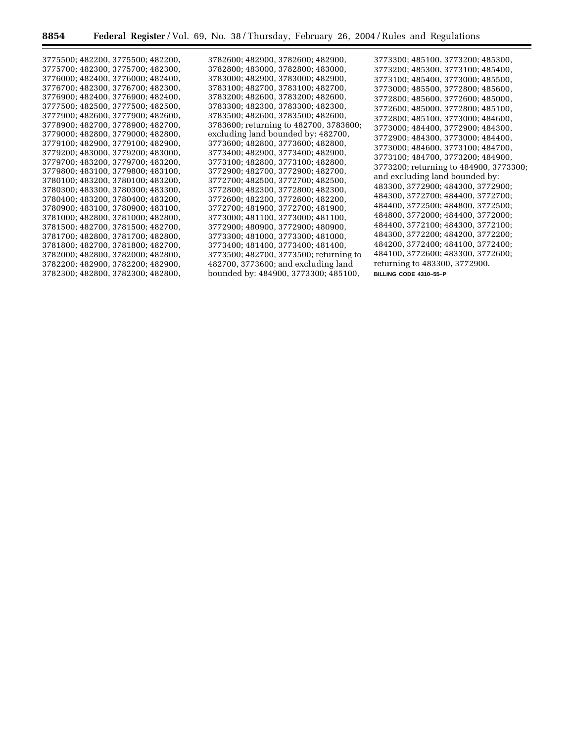۲

 $\equiv$ 

|  | 3775500; 482200, 3775500; 482200,<br>3775700; 482300, 3775700; 482300,<br>3776000; 482400, 3776000; 482400,<br>3776700; 482300, 3776700; 482300,<br>3776900; 482400, 3776900; 482400,<br>3777500; 482500, 3777500; 482500,<br>3777900; 482600, 3777900; 482600,<br>3778900; 482700, 3778900; 482700,<br>3779000; 482800, 3779000; 482800,<br>3779100; 482900, 3779100; 482900,<br>3779200; 483000, 3779200; 483000,<br>3779700; 483200, 3779700; 483200,<br>3779800; 483100, 3779800; 483100,<br>3780100; 483200, 3780100; 483200,<br>3780300; 483300, 3780300; 483300,<br>3780400; 483200, 3780400; 483200,<br>3780900; 483100, 3780900; 483100,<br>3781000; 482800, 3781000; 482800,<br>3781500; 482700, 3781500; 482700,<br>3781700; 482800, 3781700; 482800,<br>3781800; 482700, 3781800; 482700,<br>3782000; 482800, 3782000; 482800,<br>3782200; 482900, 3782200; 482900,<br>3782300; 482800, 3782300; 482800, | 3782600; 482900, 3782600; 482900,<br>3782800; 483000, 3782800; 483000,<br>3783000; 482900, 3783000; 482900,<br>3783100; 482700, 3783100; 482700,<br>3783200; 482600, 3783200; 482600,<br>3783300; 482300, 3783300; 482300,<br>3783500; 482600, 3783500; 482600,<br>3783600; returning to 482700, 3783600;<br>excluding land bounded by: 482700,<br>3773600; 482800, 3773600; 482800,<br>3773400; 482900, 3773400; 482900,<br>3773100; 482800, 3773100; 482800,<br>3772900; 482700, 3772900; 482700,<br>3772700; 482500, 3772700; 482500,<br>3772800; 482300, 3772800; 482300,<br>3772600; 482200, 3772600; 482200,<br>3772700; 481900, 3772700; 481900,<br>3773000; 481100, 3773000; 481100,<br>3772900; 480900, 3772900; 480900,<br>3773300; 481000, 3773300; 481000,<br>3773400; 481400, 3773400; 481400,<br>3773500; 482700, 3773500; returning to<br>482700, 3773600; and excluding land<br>bounded by: 484900, 3773300; 485100, | 3773300; 485100, 3773200; 485300,<br>3773200; 485300, 3773100; 485400,<br>3773100; 485400, 3773000; 485500,<br>3773000; 485500, 3772800; 485600,<br>3772800; 485600, 3772600; 485000,<br>3772600; 485000, 3772800; 485100,<br>3772800; 485100, 3773000; 484600,<br>3773000; 484400, 3772900; 484300,<br>3772900; 484300, 3773000; 484400,<br>3773000; 484600, 3773100; 484700,<br>3773100; 484700, 3773200; 484900,<br>3773200; returning to 484900, 3773300;<br>and excluding land bounded by:<br>483300, 3772900; 484300, 3772900;<br>484300, 3772700; 484400, 3772700;<br>484400, 3772500; 484800, 3772500;<br>484800, 3772000; 484400, 3772000;<br>484400, 3772100; 484300, 3772100;<br>484300, 3772200; 484200, 3772200;<br>484200, 3772400; 484100, 3772400;<br>484100, 3772600; 483300, 3772600;<br>returning to 483300, 3772900.<br>BILLING CODE 4310-55-P |
|--|----------------------------------------------------------------------------------------------------------------------------------------------------------------------------------------------------------------------------------------------------------------------------------------------------------------------------------------------------------------------------------------------------------------------------------------------------------------------------------------------------------------------------------------------------------------------------------------------------------------------------------------------------------------------------------------------------------------------------------------------------------------------------------------------------------------------------------------------------------------------------------------------------------------------|--------------------------------------------------------------------------------------------------------------------------------------------------------------------------------------------------------------------------------------------------------------------------------------------------------------------------------------------------------------------------------------------------------------------------------------------------------------------------------------------------------------------------------------------------------------------------------------------------------------------------------------------------------------------------------------------------------------------------------------------------------------------------------------------------------------------------------------------------------------------------------------------------------------------------------------|--------------------------------------------------------------------------------------------------------------------------------------------------------------------------------------------------------------------------------------------------------------------------------------------------------------------------------------------------------------------------------------------------------------------------------------------------------------------------------------------------------------------------------------------------------------------------------------------------------------------------------------------------------------------------------------------------------------------------------------------------------------------------------------------------------------------------------------------------------------------|
|--|----------------------------------------------------------------------------------------------------------------------------------------------------------------------------------------------------------------------------------------------------------------------------------------------------------------------------------------------------------------------------------------------------------------------------------------------------------------------------------------------------------------------------------------------------------------------------------------------------------------------------------------------------------------------------------------------------------------------------------------------------------------------------------------------------------------------------------------------------------------------------------------------------------------------|--------------------------------------------------------------------------------------------------------------------------------------------------------------------------------------------------------------------------------------------------------------------------------------------------------------------------------------------------------------------------------------------------------------------------------------------------------------------------------------------------------------------------------------------------------------------------------------------------------------------------------------------------------------------------------------------------------------------------------------------------------------------------------------------------------------------------------------------------------------------------------------------------------------------------------------|--------------------------------------------------------------------------------------------------------------------------------------------------------------------------------------------------------------------------------------------------------------------------------------------------------------------------------------------------------------------------------------------------------------------------------------------------------------------------------------------------------------------------------------------------------------------------------------------------------------------------------------------------------------------------------------------------------------------------------------------------------------------------------------------------------------------------------------------------------------------|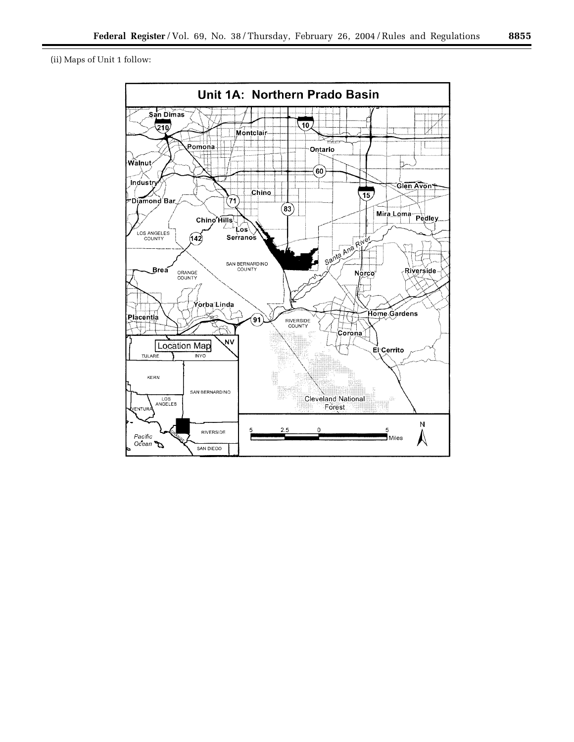(ii) Maps of Unit 1 follow:

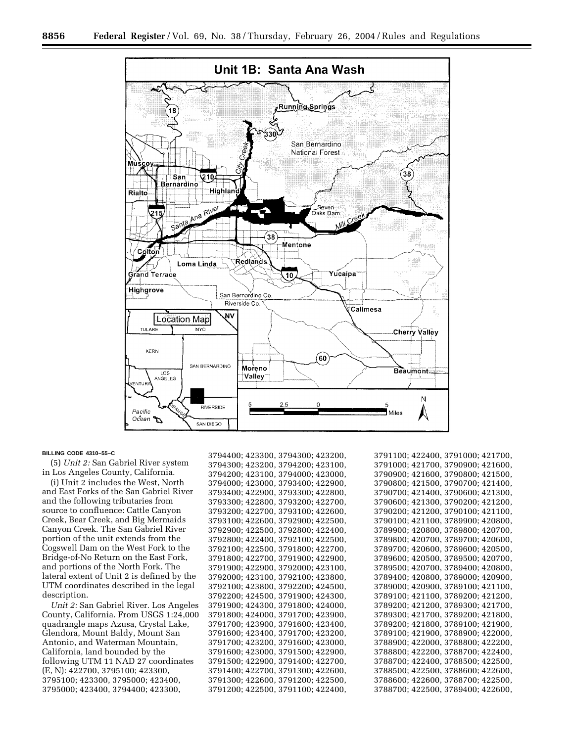

#### **BILLING CODE 4310–55–C**

(5) *Unit 2:* San Gabriel River system in Los Angeles County, California.

(i) Unit 2 includes the West, North and East Forks of the San Gabriel River and the following tributaries from source to confluence: Cattle Canyon Creek, Bear Creek, and Big Mermaids Canyon Creek. The San Gabriel River portion of the unit extends from the Cogswell Dam on the West Fork to the Bridge-of-No Return on the East Fork, and portions of the North Fork. The lateral extent of Unit 2 is defined by the UTM coordinates described in the legal description.

*Unit 2:* San Gabriel River. Los Angeles County, California. From USGS 1:24,000 quadrangle maps Azusa, Crystal Lake, Glendora, Mount Baldy, Mount San Antonio, and Waterman Mountain, California, land bounded by the following UTM 11 NAD 27 coordinates (E, N): 422700, 3795100; 423300, 3795100; 423300, 3795000; 423400, 3795000; 423400, 3794400; 423300,

3794400; 423300, 3794300; 423200, 3794300; 423200, 3794200; 423100, 3794200; 423100, 3794000; 423000, 3794000; 423000, 3793400; 422900, 3793400; 422900, 3793300; 422800, 3793300; 422800, 3793200; 422700, 3793200; 422700, 3793100; 422600, 3793100; 422600, 3792900; 422500, 3792900; 422500, 3792800; 422400, 3792800; 422400, 3792100; 422500, 3792100; 422500, 3791800; 422700, 3791800; 422700, 3791900; 422900, 3791900; 422900, 3792000; 423100, 3792000; 423100, 3792100; 423800, 3792100; 423800, 3792200; 424500, 3792200; 424500, 3791900; 424300, 3791900; 424300, 3791800; 424000, 3791800; 424000, 3791700; 423900, 3791700; 423900, 3791600; 423400, 3791600; 423400, 3791700; 423200, 3791700; 423200, 3791600; 423000, 3791600; 423000, 3791500; 422900, 3791500; 422900, 3791400; 422700, 3791400; 422700, 3791300; 422600, 3791300; 422600, 3791200; 422500, 3791200; 422500, 3791100; 422400, 3791100; 422400, 3791000; 421700, 3791000; 421700, 3790900; 421600, 3790900; 421600, 3790800; 421500, 3790800; 421500, 3790700; 421400, 3790700; 421400, 3790600; 421300, 3790600; 421300, 3790200; 421200, 3790200; 421200, 3790100; 421100, 3790100; 421100, 3789900; 420800, 3789900; 420800, 3789800; 420700, 3789800; 420700, 3789700; 420600, 3789700; 420600, 3789600; 420500, 3789600; 420500, 3789500; 420700, 3789500; 420700, 3789400; 420800, 3789400; 420800, 3789000; 420900, 3789000; 420900, 3789100; 421100, 3789100; 421100, 3789200; 421200, 3789200; 421200, 3789300; 421700, 3789300; 421700, 3789200; 421800, 3789200; 421800, 3789100; 421900, 3789100; 421900, 3788900; 422000, 3788900; 422000, 3788800; 422200, 3788800; 422200, 3788700; 422400, 3788700; 422400, 3788500; 422500, 3788500; 422500, 3788600; 422600, 3788600; 422600, 3788700; 422500, 3788700; 422500, 3789400; 422600,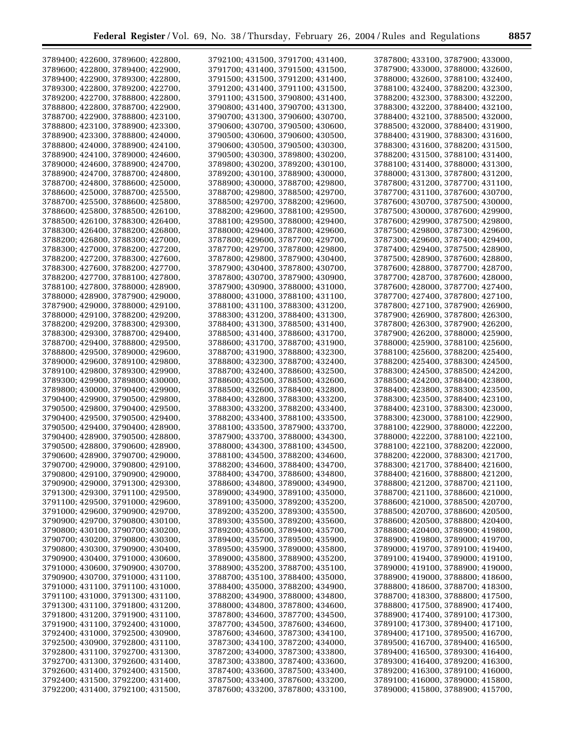| 3789400; 422600, 3789600; 422800,                                      | 3792100; 431500, 3791700; 431400,                                      | 3787800; 433100, 3787900; 433000,                                      |
|------------------------------------------------------------------------|------------------------------------------------------------------------|------------------------------------------------------------------------|
|                                                                        |                                                                        |                                                                        |
| 3789600; 422800, 3789400; 422900,                                      | 3791700; 431400, 3791500; 431500,                                      | 3787900; 433000, 3788000; 432600,                                      |
| 3789400; 422900, 3789300; 422800,                                      | 3791500; 431500, 3791200; 431400,                                      | 3788000; 432600, 3788100; 432400,                                      |
| 3789300; 422800, 3789200; 422700,                                      | 3791200; 431400, 3791100; 431500,                                      | 3788100; 432400, 3788200; 432300,                                      |
| 3789200; 422700, 3788800; 422800,                                      | 3791100; 431500, 3790800; 431400,                                      | 3788200; 432300, 3788300; 432200,                                      |
| 3788800; 422800, 3788700; 422900,                                      |                                                                        | 3788300; 432200, 3788400; 432100,                                      |
|                                                                        | 3790800; 431400, 3790700; 431300,                                      |                                                                        |
| 3788700; 422900, 3788800; 423100,                                      | 3790700; 431300, 3790600; 430700,                                      | 3788400; 432100, 3788500; 432000,                                      |
| 3788800; 423100, 3788900; 423300,                                      | 3790600; 430700, 3790500; 430600,                                      | 3788500; 432000, 3788400; 431900,                                      |
| 3788900; 423300, 3788800; 424000,                                      | 3790500; 430600, 3790600; 430500,                                      | 3788400; 431900, 3788300; 431600,                                      |
| 3788800; 424000, 3788900; 424100,                                      | 3790600; 430500, 3790500; 430300,                                      | 3788300; 431600, 3788200; 431500,                                      |
|                                                                        |                                                                        |                                                                        |
| 3788900; 424100, 3789000; 424600,                                      | 3790500; 430300, 3789800; 430200,                                      | 3788200; 431500, 3788100; 431400,                                      |
| 3789000; 424600, 3788900; 424700,                                      | 3789800; 430200, 3789200; 430100,                                      | 3788100; 431400, 3788000; 431300,                                      |
| 3788900; 424700, 3788700; 424800,                                      | 3789200; 430100, 3788900; 430000,                                      | 3788000; 431300, 3787800; 431200,                                      |
| 3788700; 424800, 3788600; 425000,                                      | 3788900; 430000, 3788700; 429800,                                      | 3787800; 431200, 3787700; 431100,                                      |
|                                                                        |                                                                        |                                                                        |
| 3788600; 425000, 3788700; 425500,                                      | 3788700; 429800, 3788500; 429700,                                      | 3787700; 431100, 3787600; 430700,                                      |
| 3788700; 425500, 3788600; 425800,                                      | 3788500; 429700, 3788200; 429600,                                      | 3787600; 430700, 3787500; 430000,                                      |
| 3788600; 425800, 3788500; 426100,                                      | 3788200; 429600, 3788100; 429500,                                      | 3787500; 430000, 3787600; 429900,                                      |
| 3788500; 426100, 3788300; 426400,                                      | 3788100; 429500, 3788000; 429400,                                      | 3787600; 429900, 3787500; 429800,                                      |
|                                                                        |                                                                        |                                                                        |
| 3788300; 426400, 3788200; 426800,                                      | 3788000; 429400, 3787800; 429600,                                      | 3787500; 429800, 3787300; 429600,                                      |
| 3788200; 426800, 3788300; 427000,                                      | 3787800; 429600, 3787700; 429700,                                      | 3787300; 429600, 3787400; 429400,                                      |
| 3788300; 427000, 3788200; 427200,                                      | 3787700; 429700, 3787800; 429800,                                      | 3787400; 429400, 3787500; 428900,                                      |
| 3788200; 427200, 3788300; 427600,                                      | 3787800; 429800, 3787900; 430400,                                      | 3787500; 428900, 3787600; 428800,                                      |
| 3788300; 427600, 3788200; 427700,                                      | 3787900; 430400, 3787800; 430700,                                      | 3787600; 428800, 3787700; 428700,                                      |
|                                                                        |                                                                        |                                                                        |
| 3788200; 427700, 3788100; 427800,                                      | 3787800; 430700, 3787900; 430900,                                      | 3787700; 428700, 3787600; 428000,                                      |
| 3788100; 427800, 3788000; 428900,                                      | 3787900; 430900, 3788000; 431000,                                      | 3787600; 428000, 3787700; 427400,                                      |
| 3788000; 428900, 3787900; 429000,                                      | 3788000; 431000, 3788100; 431100,                                      | 3787700; 427400, 3787800; 427100,                                      |
| 3787900; 429000, 3788000; 429100,                                      | 3788100; 431100, 3788300; 431200,                                      | 3787800; 427100, 3787900; 426900,                                      |
| 3788000; 429100, 3788200; 429200,                                      | 3788300; 431200, 3788400; 431300,                                      | 3787900; 426900, 3787800; 426300,                                      |
|                                                                        |                                                                        |                                                                        |
| 3788200; 429200, 3788300; 429300,                                      | 3788400; 431300, 3788500; 431400,                                      | 3787800; 426300, 3787900; 426200,                                      |
| 3788300; 429300, 3788700; 429400,                                      | 3788500; 431400, 3788600; 431700,                                      | 3787900; 426200, 3788000; 425900,                                      |
| 3788700; 429400, 3788800; 429500,                                      | 3788600; 431700, 3788700; 431900,                                      | 3788000; 425900, 3788100; 425600,                                      |
| 3788800; 429500, 3789000; 429600,                                      | 3788700; 431900, 3788800; 432300,                                      | 3788100; 425600, 3788200; 425400,                                      |
|                                                                        |                                                                        |                                                                        |
| 3789000; 429600, 3789100; 429800,                                      | 3788800; 432300, 3788700; 432400,                                      | 3788200; 425400, 3788300; 424500,                                      |
| 3789100; 429800, 3789300; 429900,                                      | 3788700; 432400, 3788600; 432500,                                      | 3788300; 424500, 3788500; 424200,                                      |
| 3789300; 429900, 3789800; 430000,                                      | 3788600; 432500, 3788500; 432600,                                      | 3788500; 424200, 3788400; 423800,                                      |
| 3789800; 430000, 3790400; 429900,                                      | 3788500; 432600, 3788400; 432800,                                      | 3788400; 423800, 3788300; 423500,                                      |
| 3790400; 429900, 3790500; 429800,                                      | 3788400; 432800, 3788300; 433200,                                      | 3788300; 423500, 3788400; 423100,                                      |
|                                                                        |                                                                        |                                                                        |
| 3790500; 429800, 3790400; 429500,                                      | 3788300; 433200, 3788200; 433400,                                      | 3788400; 423100, 3788300; 423000,                                      |
| 3790400; 429500, 3790500; 429400,                                      | 3788200; 433400, 3788100; 433500,                                      | 3788300; 423000, 3788100; 422900,                                      |
| 3790500; 429400, 3790400; 428900,                                      | 3788100; 433500, 3787900; 433700,                                      | 3788100; 422900, 3788000; 422200,                                      |
| 3790400; 428900, 3790500; 428800,                                      | 3787900; 433700, 3788000; 434300,                                      | 3788000; 422200, 3788100; 422100,                                      |
|                                                                        |                                                                        |                                                                        |
| 3790500; 428800, 3790600; 428900,                                      | 3788000; 434300, 3788100; 434500,                                      | 3788100; 422100, 3788200; 422000,                                      |
| 3790600; 428900, 3790700; 429000,                                      | 3788100; 434500, 3788200; 434600,                                      | 3788200; 422000, 3788300; 421700,                                      |
| 3790700; 429000, 3790800; 429100,                                      | 3788200; 434600, 3788400; 434700,                                      |                                                                        |
| 3790800; 429100, 3790900; 429000,                                      |                                                                        | 3788300; 421700, 3788400; 421600,                                      |
| 3790900; 429000, 3791300; 429300,                                      |                                                                        |                                                                        |
|                                                                        | 3788400; 434700, 3788600; 434800,                                      | 3788400; 421600, 3788800; 421200,                                      |
|                                                                        | 3788600; 434800, 3789000; 434900,                                      | 3788800; 421200, 3788700; 421100,                                      |
| 3791300; 429300, 3791100; 429500,                                      | 3789000; 434900, 3789100; 435000,                                      | 3788700; 421100, 3788600; 421000,                                      |
| 3791100; 429500, 3791000; 429600,                                      | 3789100; 435000, 3789200; 435200,                                      | 3788600; 421000, 3788500; 420700,                                      |
| 3791000; 429600, 3790900; 429700,                                      | 3789200; 435200, 3789300; 435500,                                      | 3788500; 420700, 3788600; 420500,                                      |
|                                                                        |                                                                        |                                                                        |
| 3790900; 429700, 3790800; 430100,                                      | 3789300; 435500, 3789200; 435600,                                      | 3788600; 420500, 3788800; 420400,                                      |
| 3790800; 430100, 3790700; 430200,                                      | 3789200; 435600, 3789400; 435700,                                      | 3788800; 420400, 3788900; 419800,                                      |
| 3790700; 430200, 3790800; 430300,                                      | 3789400; 435700, 3789500; 435900,                                      | 3788900; 419800, 3789000; 419700,                                      |
| 3790800; 430300, 3790900; 430400,                                      | 3789500; 435900, 3789000; 435800,                                      | 3789000; 419700, 3789100; 419400,                                      |
| 3790900; 430400, 3791000; 430600,                                      | 3789000; 435800, 3788900; 435200,                                      | 3789100; 419400, 3789000; 419100,                                      |
|                                                                        |                                                                        |                                                                        |
| 3791000; 430600, 3790900; 430700,                                      | 3788900; 435200, 3788700; 435100,                                      | 3789000; 419100, 3788900; 419000,                                      |
| 3790900; 430700, 3791000; 431100,                                      | 3788700; 435100, 3788400; 435000,                                      | 3788900; 419000, 3788800; 418600,                                      |
| 3791000; 431100, 3791100; 431000,                                      | 3788400; 435000, 3788200; 434900,                                      | 3788800; 418600, 3788700; 418300,                                      |
| 3791100; 431000, 3791300; 431100,                                      | 3788200; 434900, 3788000; 434800,                                      | 3788700; 418300, 3788800; 417500,                                      |
| 3791300; 431100, 3791800; 431200,                                      | 3788000; 434800, 3787800; 434600,                                      | 3788800; 417500, 3788900; 417400,                                      |
|                                                                        |                                                                        |                                                                        |
| 3791800; 431200, 3791900; 431100,                                      | 3787800; 434600, 3787700; 434500,                                      | 3788900; 417400, 3789100; 417300,                                      |
| 3791900; 431100, 3792400; 431000,                                      | 3787700; 434500, 3787600; 434600,                                      | 3789100; 417300, 3789400; 417100,                                      |
| 3792400; 431000, 3792500; 430900,                                      | 3787600; 434600, 3787300; 434100,                                      | 3789400; 417100, 3789500; 416700,                                      |
| 3792500; 430900, 3792800; 431100,                                      | 3787300; 434100, 3787200; 434000,                                      | 3789500; 416700, 3789400; 416500,                                      |
|                                                                        |                                                                        |                                                                        |
| 3792800; 431100, 3792700; 431300,                                      | 3787200; 434000, 3787300; 433800,                                      | 3789400; 416500, 3789300; 416400,                                      |
| 3792700; 431300, 3792600; 431400,                                      | 3787300; 433800, 3787400; 433600,                                      | 3789300; 416400, 3789200; 416300,                                      |
| 3792600; 431400, 3792400; 431500,                                      | 3787400; 433600, 3787500; 433400,                                      | 3789200; 416300, 3789100; 416000,                                      |
| 3792400; 431500, 3792200; 431400,<br>3792200; 431400, 3792100; 431500, | 3787500; 433400, 3787600; 433200,<br>3787600; 433200, 3787800; 433100, | 3789100; 416000, 3789000; 415800,<br>3789000; 415800, 3788900; 415700, |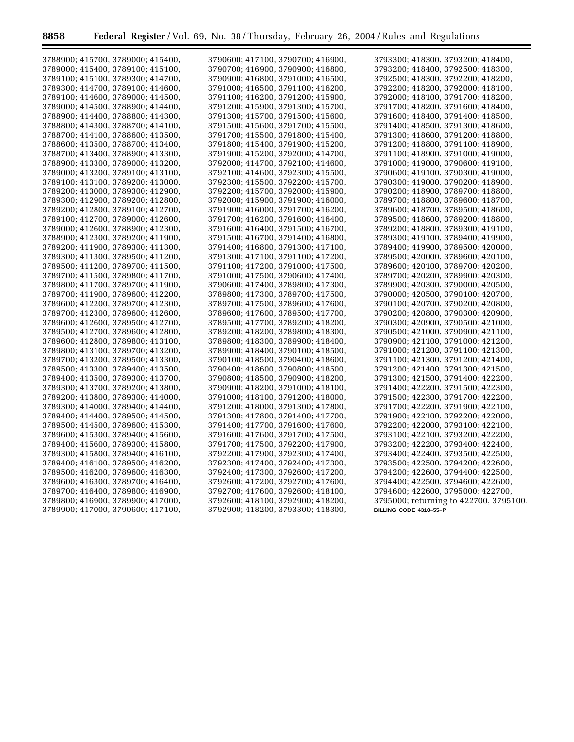$\equiv$ 

۲

| 3788900; 415700, 3789000; 415400, | 3790600; 417100, 3790700; 416900, | 3793300; 418300, 3793200; 418400,      |
|-----------------------------------|-----------------------------------|----------------------------------------|
| 3789000; 415400, 3789100; 415100, | 3790700; 416900, 3790900; 416800, | 3793200; 418400, 3792500; 418300,      |
| 3789100; 415100, 3789300; 414700, | 3790900; 416800, 3791000; 416500, | 3792500; 418300, 3792200; 418200,      |
| 3789300; 414700, 3789100; 414600, | 3791000; 416500, 3791100; 416200, | 3792200; 418200, 3792000; 418100,      |
| 3789100; 414600, 3789000; 414500, | 3791100; 416200, 3791200; 415900, | 3792000; 418100, 3791700; 418200,      |
| 3789000; 414500, 3788900; 414400, | 3791200; 415900, 3791300; 415700, | 3791700; 418200, 3791600; 418400,      |
| 3788900; 414400, 3788800; 414300, | 3791300; 415700, 3791500; 415600, | 3791600; 418400, 3791400; 418500,      |
| 3788800; 414300, 3788700; 414100, | 3791500; 415600, 3791700; 415500, | 3791400; 418500, 3791300; 418600,      |
| 3788700; 414100, 3788600; 413500, | 3791700; 415500, 3791800; 415400, | 3791300; 418600, 3791200; 418800,      |
| 3788600; 413500, 3788700; 413400, | 3791800; 415400, 3791900; 415200, | 3791200; 418800, 3791100; 418900,      |
| 3788700; 413400, 3788900; 413300, | 3791900; 415200, 3792000; 414700, | 3791100; 418900, 3791000; 419000,      |
| 3788900; 413300, 3789000; 413200, | 3792000; 414700, 3792100; 414600, | 3791000; 419000, 3790600; 419100,      |
|                                   |                                   |                                        |
| 3789000; 413200, 3789100; 413100, | 3792100; 414600, 3792300; 415500, | 3790600; 419100, 3790300; 419000,      |
| 3789100; 413100, 3789200; 413000, | 3792300; 415500, 3792200; 415700, | 3790300; 419000, 3790200; 418900,      |
| 3789200; 413000, 3789300; 412900, | 3792200; 415700, 3792000; 415900, | 3790200; 418900, 3789700; 418800,      |
| 3789300; 412900, 3789200; 412800, | 3792000; 415900, 3791900; 416000, | 3789700; 418800, 3789600; 418700,      |
| 3789200; 412800, 3789100; 412700, | 3791900; 416000, 3791700; 416200, | 3789600; 418700, 3789500; 418600,      |
| 3789100; 412700, 3789000; 412600, | 3791700; 416200, 3791600; 416400, | 3789500; 418600, 3789200; 418800,      |
| 3789000; 412600, 3788900; 412300, | 3791600; 416400, 3791500; 416700, | 3789200; 418800, 3789300; 419100,      |
| 3788900; 412300, 3789200; 411900, | 3791500; 416700, 3791400; 416800, | 3789300; 419100, 3789400; 419900,      |
| 3789200; 411900, 3789300; 411300, | 3791400; 416800, 3791300; 417100, | 3789400; 419900, 3789500; 420000,      |
| 3789300; 411300, 3789500; 411200, | 3791300; 417100, 3791100; 417200, | 3789500; 420000, 3789600; 420100,      |
| 3789500; 411200, 3789700; 411500, | 3791100; 417200, 3791000; 417500, | 3789600; 420100, 3789700; 420200,      |
| 3789700; 411500, 3789800; 411700, | 3791000; 417500, 3790600; 417400, | 3789700; 420200, 3789900; 420300,      |
| 3789800; 411700, 3789700; 411900, | 3790600; 417400, 3789800; 417300, | 3789900; 420300, 3790000; 420500,      |
| 3789700; 411900, 3789600; 412200, | 3789800; 417300, 3789700; 417500, | 3790000; 420500, 3790100; 420700,      |
| 3789600; 412200, 3789700; 412300, | 3789700; 417500, 3789600; 417600, | 3790100; 420700, 3790200; 420800,      |
| 3789700; 412300, 3789600; 412600, | 3789600; 417600, 3789500; 417700, | 3790200; 420800, 3790300; 420900,      |
| 3789600; 412600, 3789500; 412700, | 3789500; 417700, 3789200; 418200, | 3790300; 420900, 3790500; 421000,      |
| 3789500; 412700, 3789600; 412800, | 3789200; 418200, 3789800; 418300, | 3790500; 421000, 3790900; 421100,      |
| 3789600; 412800, 3789800; 413100, | 3789800; 418300, 3789900; 418400, | 3790900; 421100, 3791000; 421200,      |
| 3789800; 413100, 3789700; 413200, | 3789900; 418400, 3790100; 418500, | 3791000; 421200, 3791100; 421300,      |
| 3789700; 413200, 3789500; 413300, | 3790100; 418500, 3790400; 418600, | 3791100; 421300, 3791200; 421400,      |
| 3789500; 413300, 3789400; 413500, | 3790400; 418600, 3790800; 418500, | 3791200; 421400, 3791300; 421500,      |
| 3789400; 413500, 3789300; 413700, | 3790800; 418500, 3790900; 418200, | 3791300; 421500, 3791400; 422200,      |
| 3789300; 413700, 3789200; 413800, | 3790900; 418200, 3791000; 418100, | 3791400; 422200, 3791500; 422300,      |
| 3789200; 413800, 3789300; 414000, | 3791000; 418100, 3791200; 418000, | 3791500; 422300, 3791700; 422200,      |
| 3789300; 414000, 3789400; 414400, | 3791200; 418000, 3791300; 417800, | 3791700; 422200, 3791900; 422100,      |
| 3789400; 414400, 3789500; 414500, | 3791300; 417800, 3791400; 417700, | 3791900; 422100, 3792200; 422000,      |
| 3789500; 414500, 3789600; 415300, | 3791400; 417700, 3791600; 417600, | 3792200; 422000, 3793100; 422100,      |
| 3789600; 415300, 3789400; 415600, | 3791600; 417600, 3791700; 417500, | 3793100; 422100, 3793200; 422200,      |
| 3789400; 415600, 3789300; 415800, | 3791700; 417500, 3792200; 417900, | 3793200; 422200, 3793400; 422400,      |
| 3789300; 415800, 3789400; 416100, | 3792200; 417900, 3792300; 417400, | 3793400; 422400, 3793500; 422500,      |
| 3789400; 416100, 3789500; 416200, | 3792300; 417400, 3792400; 417300, | 3793500; 422500, 3794200; 422600,      |
| 3789500; 416200, 3789600; 416300, | 3792400; 417300, 3792600; 417200, | 3794200; 422600, 3794400; 422500,      |
| 3789600; 416300, 3789700; 416400, | 3792600; 417200, 3792700; 417600, | 3794400; 422500, 3794600; 422600,      |
| 3789700; 416400, 3789800; 416900, | 3792700; 417600, 3792600; 418100, | 3794600; 422600, 3795000; 422700,      |
| 3789800; 416900, 3789900; 417000, | 3792600; 418100, 3792900; 418200, | 3795000; returning to 422700, 3795100. |
| 3789900; 417000, 3790600; 417100, | 3792900; 418200, 3793300; 418300, | BILLING CODE 4310-55-P                 |
|                                   |                                   |                                        |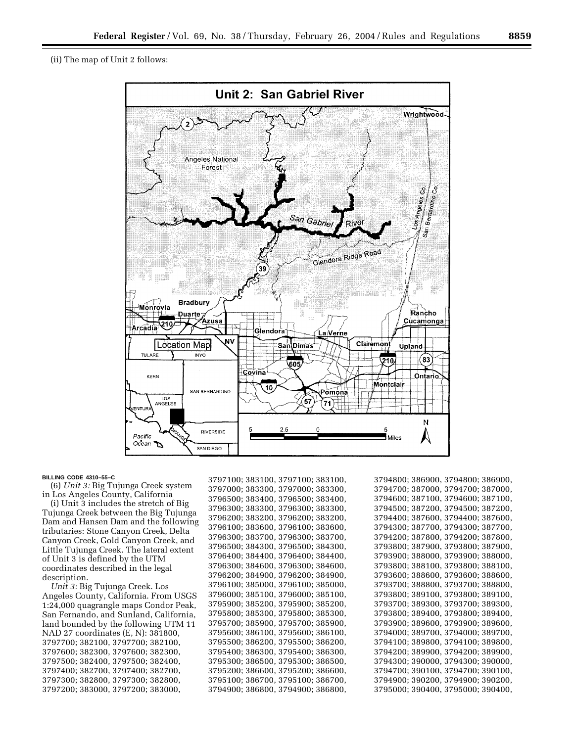

#### **BILLING CODE 4310–55–C**

(6) *Unit 3:* Big Tujunga Creek system in Los Angeles County, California

(i) Unit 3 includes the stretch of Big Tujunga Creek between the Big Tujunga Dam and Hansen Dam and the following tributaries: Stone Canyon Creek, Delta Canyon Creek, Gold Canyon Creek, and Little Tujunga Creek. The lateral extent of Unit 3 is defined by the UTM coordinates described in the legal description.

*Unit 3:* Big Tujunga Creek. Los Angeles County, California. From USGS 1:24,000 quagrangle maps Condor Peak, San Fernando, and Sunland, California, land bounded by the following UTM 11 NAD 27 coordinates (E, N): 381800, 3797700; 382100, 3797700; 382100, 3797600; 382300, 3797600; 382300, 3797500; 382400, 3797500; 382400, 3797400; 382700, 3797400; 382700, 3797300; 382800, 3797300; 382800, 3797200; 383000, 3797200; 383000,

3797100; 383100, 3797100; 383100, 3797000; 383300, 3797000; 383300, 3796500; 383400, 3796500; 383400, 3796300; 383300, 3796300; 383300, 3796200; 383200, 3796200; 383200, 3796100; 383600, 3796100; 383600, 3796300; 383700, 3796300; 383700, 3796500; 384300, 3796500; 384300, 3796400; 384400, 3796400; 384400, 3796300; 384600, 3796300; 384600, 3796200; 384900, 3796200; 384900, 3796100; 385000, 3796100; 385000, 3796000; 385100, 3796000; 385100, 3795900; 385200, 3795900; 385200, 3795800; 385300, 3795800; 385300, 3795700; 385900, 3795700; 385900, 3795600; 386100, 3795600; 386100, 3795500; 386200, 3795500; 386200, 3795400; 386300, 3795400; 386300, 3795300; 386500, 3795300; 386500, 3795200; 386600, 3795200; 386600, 3795100; 386700, 3795100; 386700, 3794900; 386800, 3794900; 386800,

```
3794800; 386900, 3794800; 386900, 
3794700; 387000, 3794700; 387000, 
3794600; 387100, 3794600; 387100, 
3794500; 387200, 3794500; 387200, 
3794400; 387600, 3794400; 387600, 
3794300; 387700, 3794300; 387700, 
3794200; 387800, 3794200; 387800, 
3793800; 387900, 3793800; 387900, 
3793900; 388000, 3793900; 388000, 
3793800; 388100, 3793800; 388100, 
3793600; 388600, 3793600; 388600, 
3793700; 388800, 3793700; 388800, 
3793800; 389100, 3793800; 389100, 
3793700; 389300, 3793700; 389300, 
3793800; 389400, 3793800; 389400, 
3793900; 389600, 3793900; 389600, 
3794000; 389700, 3794000; 389700, 
3794100; 389800, 3794100; 389800, 
3794200; 389900, 3794200; 389900, 
3794300; 390000, 3794300; 390000, 
3794700; 390100, 3794700; 390100, 
3794900; 390200, 3794900; 390200, 
3795000; 390400, 3795000; 390400,
```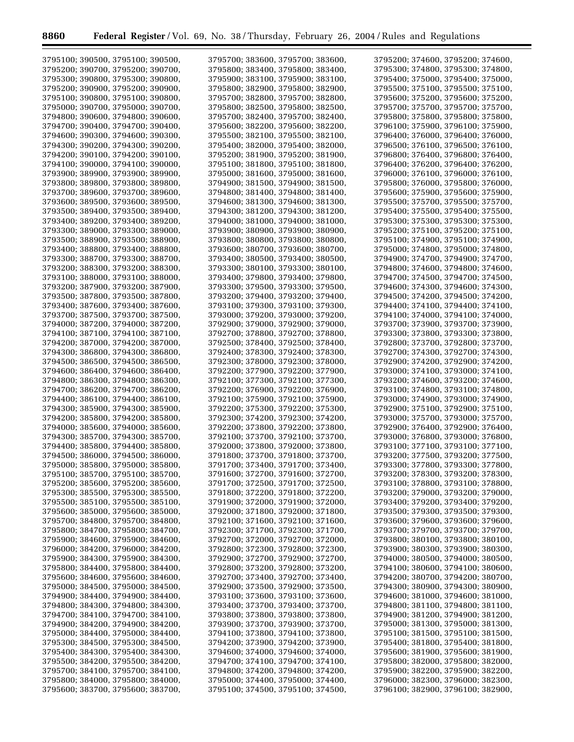$\equiv$ 

۲

| 3795100; 390500, 3795100; 390500, | 3795700; 383600, 3795700; 383600, | 3795200; 374600, 3795200; 374600, |
|-----------------------------------|-----------------------------------|-----------------------------------|
| 3795200; 390700, 3795200; 390700, | 3795800; 383400, 3795800; 383400, | 3795300; 374800, 3795300; 374800, |
| 3795300; 390800, 3795300; 390800, | 3795900; 383100, 3795900; 383100, | 3795400; 375000, 3795400; 375000, |
| 3795200; 390900, 3795200; 390900, | 3795800; 382900, 3795800; 382900, | 3795500; 375100, 3795500; 375100, |
| 3795100; 390800, 3795100; 390800, | 3795700; 382800, 3795700; 382800, | 3795600; 375200, 3795600; 375200, |
| 3795000; 390700, 3795000; 390700, | 3795800; 382500, 3795800; 382500, | 3795700; 375700, 3795700; 375700, |
| 3794800; 390600, 3794800; 390600, | 3795700; 382400, 3795700; 382400, | 3795800; 375800, 3795800; 375800, |
|                                   |                                   |                                   |
| 3794700; 390400, 3794700; 390400, | 3795600; 382200, 3795600; 382200, | 3796100; 375900, 3796100; 375900, |
| 3794600; 390300, 3794600; 390300, | 3795500; 382100, 3795500; 382100, | 3796400; 376000, 3796400; 376000, |
| 3794300; 390200, 3794300; 390200, | 3795400; 382000, 3795400; 382000, | 3796500; 376100, 3796500; 376100, |
| 3794200; 390100, 3794200; 390100, | 3795200; 381900, 3795200; 381900, | 3796800; 376400, 3796800; 376400, |
| 3794100; 390000, 3794100; 390000, | 3795100; 381800, 3795100; 381800, | 3796400; 376200, 3796400; 376200, |
| 3793900; 389900, 3793900; 389900, | 3795000; 381600, 3795000; 381600, | 3796000; 376100, 3796000; 376100, |
| 3793800; 389800, 3793800; 389800, | 3794900; 381500, 3794900; 381500, | 3795800; 376000, 3795800; 376000, |
| 3793700; 389600, 3793700; 389600, | 3794800; 381400, 3794800; 381400, | 3795600; 375900, 3795600; 375900, |
| 3793600; 389500, 3793600; 389500, | 3794600; 381300, 3794600; 381300, | 3795500; 375700, 3795500; 375700, |
| 3793500; 389400, 3793500; 389400, | 3794300; 381200, 3794300; 381200, | 3795400; 375500, 3795400; 375500, |
| 3793400; 389200, 3793400; 389200, | 3794000; 381000, 3794000; 381000, | 3795300; 375300, 3795300; 375300, |
| 3793300; 389000, 3793300; 389000, | 3793900; 380900, 3793900; 380900, | 3795200; 375100, 3795200; 375100, |
| 3793500; 388900, 3793500; 388900, | 3793800; 380800, 3793800; 380800, | 3795100; 374900, 3795100; 374900, |
| 3793400; 388800, 3793400; 388800, | 3793600; 380700, 3793600; 380700, | 3795000; 374800, 3795000; 374800, |
| 3793300; 388700, 3793300; 388700, | 3793400; 380500, 3793400; 380500, | 3794900; 374700, 3794900; 374700, |
| 3793200; 388300, 3793200; 388300, | 3793300; 380100, 3793300; 380100, | 3794800; 374600, 3794800; 374600, |
| 3793100; 388000, 3793100; 388000, | 3793400; 379800, 3793400; 379800, | 3794700; 374500, 3794700; 374500, |
| 3793200; 387900, 3793200; 387900, | 3793300; 379500, 3793300; 379500, | 3794600; 374300, 3794600; 374300, |
| 3793500; 387800, 3793500; 387800, | 3793200; 379400, 3793200; 379400, | 3794500; 374200, 3794500; 374200, |
| 3793400; 387600, 3793400; 387600, | 3793100; 379300, 3793100; 379300, | 3794400; 374100, 3794400; 374100, |
| 3793700; 387500, 3793700; 387500, | 3793000; 379200, 3793000; 379200, | 3794100; 374000, 3794100; 374000, |
| 3794000; 387200, 3794000; 387200, | 3792900; 379000, 3792900; 379000, | 3793700; 373900, 3793700; 373900, |
| 3794100; 387100, 3794100; 387100, | 3792700; 378800, 3792700; 378800, | 3793300; 373800, 3793300; 373800, |
| 3794200; 387000, 3794200; 387000, | 3792500; 378400, 3792500; 378400, | 3792800; 373700, 3792800; 373700, |
| 3794300; 386800, 3794300; 386800, | 3792400; 378300, 3792400; 378300, | 3792700; 374300, 3792700; 374300, |
| 3794500; 386500, 3794500; 386500, | 3792300; 378000, 3792300; 378000, | 3792900; 374200, 3792900; 374200, |
| 3794600; 386400, 3794600; 386400, | 3792200; 377900, 3792200; 377900, | 3793000; 374100, 3793000; 374100, |
|                                   |                                   |                                   |
| 3794800; 386300, 3794800; 386300, | 3792100; 377300, 3792100; 377300, | 3793200; 374600, 3793200; 374600, |
| 3794700; 386200, 3794700; 386200, | 3792200; 376900, 3792200; 376900, | 3793100; 374800, 3793100; 374800, |
| 3794400; 386100, 3794400; 386100, | 3792100; 375900, 3792100; 375900, | 3793000; 374900, 3793000; 374900, |
| 3794300; 385900, 3794300; 385900, | 3792200; 375300, 3792200; 375300, | 3792900; 375100, 3792900; 375100, |
| 3794200; 385800, 3794200; 385800, | 3792300; 374200, 3792300; 374200, | 3793000; 375700, 3793000; 375700, |
| 3794000; 385600, 3794000; 385600, | 3792200; 373800, 3792200; 373800, | 3792900; 376400, 3792900; 376400, |
| 3794300; 385700, 3794300; 385700, | 3792100; 373700, 3792100; 373700, | 3793000; 376800, 3793000; 376800, |
| 3794400; 385800, 3794400; 385800, | 3792000; 373800, 3792000; 373800, | 3793100; 377100, 3793100; 377100, |
| 3794500; 386000, 3794500; 386000, | 3791800; 373700, 3791800; 373700, | 3793200; 377500, 3793200; 377500, |
| 3795000; 385800, 3795000; 385800, | 3791700; 373400, 3791700; 373400, | 3793300; 377800, 3793300; 377800, |
| 3795100; 385700, 3795100; 385700, | 3791600; 372700, 3791600; 372700, | 3793200; 378300, 3793200; 378300, |
| 3795200; 385600, 3795200; 385600, | 3791700; 372500, 3791700; 372500, | 3793100; 378800, 3793100; 378800, |
| 3795300; 385500, 3795300; 385500, | 3791800; 372200, 3791800; 372200, | 3793200; 379000, 3793200; 379000, |
| 3795500; 385100, 3795500; 385100, | 3791900; 372000, 3791900; 372000, | 3793400; 379200, 3793400; 379200, |
| 3795600; 385000, 3795600; 385000, | 3792000; 371800, 3792000; 371800, | 3793500; 379300, 3793500; 379300, |
| 3795700; 384800, 3795700; 384800, | 3792100; 371600, 3792100; 371600, | 3793600; 379600, 3793600; 379600, |
| 3795800; 384700, 3795800; 384700, | 3792300; 371700, 3792300; 371700, | 3793700; 379700, 3793700; 379700, |
| 3795900; 384600, 3795900; 384600, | 3792700; 372000, 3792700; 372000, | 3793800; 380100, 3793800; 380100, |
| 3796000; 384200, 3796000; 384200, | 3792800; 372300, 3792800; 372300, | 3793900; 380300, 3793900; 380300, |
| 3795900; 384300, 3795900; 384300, | 3792900; 372700, 3792900; 372700, | 3794000; 380500, 3794000; 380500, |
| 3795800; 384400, 3795800; 384400, | 3792800; 373200, 3792800; 373200, | 3794100; 380600, 3794100; 380600, |
| 3795600; 384600, 3795600; 384600, | 3792700; 373400, 3792700; 373400, | 3794200; 380700, 3794200; 380700, |
| 3795000; 384500, 3795000; 384500, | 3792900; 373500, 3792900; 373500, | 3794300; 380900, 3794300; 380900, |
| 3794900; 384400, 3794900; 384400, | 3793100; 373600, 3793100; 373600, | 3794600; 381000, 3794600; 381000, |
| 3794800; 384300, 3794800; 384300, | 3793400; 373700, 3793400; 373700, | 3794800; 381100, 3794800; 381100, |
| 3794700; 384100, 3794700; 384100, | 3793800; 373800, 3793800; 373800, | 3794900; 381200, 3794900; 381200, |
| 3794900; 384200, 3794900; 384200, | 3793900; 373700, 3793900; 373700, | 3795000; 381300, 3795000; 381300, |
| 3795000; 384400, 3795000; 384400, | 3794100; 373800, 3794100; 373800, | 3795100; 381500, 3795100; 381500, |
| 3795300; 384500, 3795300; 384500, | 3794200; 373900, 3794200; 373900, | 3795400; 381800, 3795400; 381800, |
| 3795400; 384300, 3795400; 384300, | 3794600; 374000, 3794600; 374000, | 3795600; 381900, 3795600; 381900, |
| 3795500; 384200, 3795500; 384200, | 3794700; 374100, 3794700; 374100, | 3795800; 382000, 3795800; 382000, |
| 3795700; 384100, 3795700; 384100, | 3794800; 374200, 3794800; 374200, | 3795900; 382200, 3795900; 382200, |
| 3795800; 384000, 3795800; 384000, | 3795000; 374400, 3795000; 374400, | 3796000; 382300, 3796000; 382300, |
| 3795600; 383700, 3795600; 383700, | 3795100; 374500, 3795100; 374500, | 3796100; 382900, 3796100; 382900, |
|                                   |                                   |                                   |